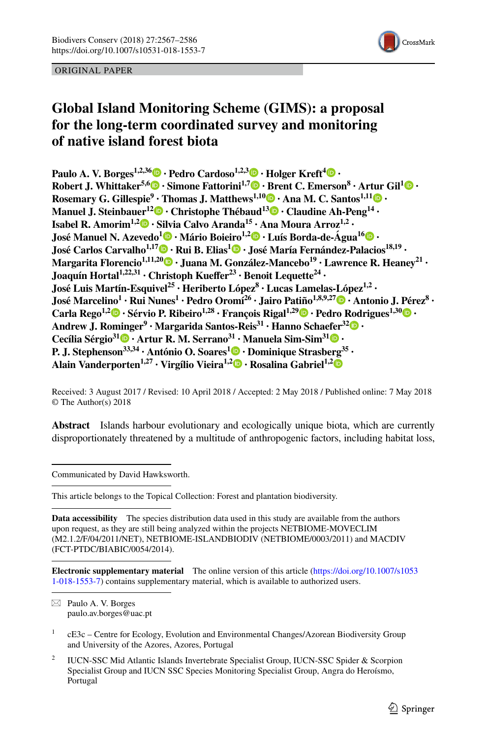

ORIGINAL PAPER

# **Global Island Monitoring Scheme (GIMS): a proposal for the long‑term coordinated survey and monitoring of native island forest biota**

**Paulo A. V. Borges1,2,36  [·](http://orcid.org/0000-0002-8448-7623) Pedro Cardoso1,2,3 · Holger Kreft4 · Robert J. Whittaker5,6 · Simone Fattorini1,7 [· Br](http://orcid.org/0000-0002-7624-244X)ent C. Emerson8 · Ar[tur](http://orcid.org/0000-0002-9197-792X) Gil[1](http://orcid.org/0000-0003-4450-8167) · Rosemary G. Gillespie**<sup>9</sup> • Thomas J. Matthews<sup>1,10</sup> • Ana M. C. Santos<sup>1,11</sup> • **Manuel J. Steinbau[er](http://orcid.org/0000-0001-6847-3320)12 · Christophe Thébaud13  [·](http://orcid.org/0000-0002-8586-1234) Claudine Ah‑Peng14 ·**  Isabel R. Amorim<sup>1,2</sup><sup>0</sup> · [Silvi](http://orcid.org/0000-0003-2573-1371)a Calvo Aranda<sup>15</sup> [· A](http://orcid.org/0000-0002-9087-091X)na Moura Arroz<sup>1,2</sup> · *José Manuel N. Azevedo<sup>1</sup><sup>0</sup> · Mário Boie[iro](http://orcid.org/0000-0003-2397-2438)<sup>1,2</sup><sup>0</sup> · Luís Borda-de-Água<sup>1[6](http://orcid.org/0000-0002-0802-6235)</sup><sup>0</sup> ·* **José Carlos Carvalho1,17  [·](http://orcid.org/0000-0001-6852-5207) Rui B. Elias1 · José María Fernández‑Palacios18,19 ·**  MargaritaFlorencio<sup>1,11,20</sup> • Juana M. González-Mancebo<sup>19</sup> • Lawrence R. Heaney<sup>21</sup> • Joaquín Hortal<sup>1,22,31</sup> · Christoph Kueffer<sup>23</sup> · Benoit Lequette<sup>24</sup> · **José Luis Martín‑Esquivel25 · Heriberto López8 · Lucas Lamelas[‑Ló](http://orcid.org/0000-0001-5532-166X)pez1,2 · José Marceli[no](http://orcid.org/0000-0001-8005-4508)1 · Rui Nunes1 · Pedro Oromí26 · Jairo Pa[tiño](http://orcid.org/0000-0001-6882-1591)1,8,9,27 · Antonio J. [Pér](http://orcid.org/0000-0002-2974-5909)ez8 · Carla Rego1,2 · Sérvio P. Ribeiro1,28 · François Rigal1,29 · Pedro [Rod](http://orcid.org/0000-0001-7231-3987)rigues1,30 · Andrew J. Ro[ming](http://orcid.org/0000-0001-5145-5329)er9 · Margarida Santos‑Reis31 · Hanno Scha[efer](http://orcid.org/0000-0003-3467-6538)32 · Cecília Sérgio31 · Artur R. M. Serrano31 [·](http://orcid.org/0000-0001-7922-6296) Manuela Sim‑Sim31 · P. J. Stephenson33,34 · António O. Soares1 · Dominique Strasb[erg](http://orcid.org/0000-0002-3550-8010)35 ·**  Alain Vanderporten<sup>1,27</sup> [·](http://orcid.org/0000-0002-3638-1795) Virgílio Vieira<sup>1,2</sup><sup> $\bullet$ </sup> · Rosalina Gabriel<sup>1,2</sup><sup> $\bullet$ </sup>

Received: 3 August 2017 / Revised: 10 April 2018 / Accepted: 2 May 2018 / Published online: 7 May 2018 © The Author(s) 2018

**Abstract** Islands harbour evolutionary and ecologically unique biota, which are currently disproportionately threatened by a multitude of anthropogenic factors, including habitat loss,

Communicated by David Hawksworth.

This article belongs to the Topical Collection: Forest and plantation biodiversity.

**Data accessibility** The species distribution data used in this study are available from the authors upon request, as they are still being analyzed within the projects NETBIOME-MOVECLIM (M2.1.2/F/04/2011/NET), NETBIOME-ISLANDBIODIV (NETBIOME/0003/2011) and MACDIV (FCT-PTDC/BIABIC/0054/2014).

**Electronic supplementary material** The online version of this article ([https://doi.org/10.1007/s1053](https://doi.org/10.1007/s10531-018-1553-7) [1-018-1553-7\)](https://doi.org/10.1007/s10531-018-1553-7) contains supplementary material, which is available to authorized users.

 $\boxtimes$  Paulo A. V. Borges paulo.av.borges@uac.pt

 $1 - cE3c$  – Centre for Ecology, Evolution and Environmental Changes/Azorean Biodiversity Group and University of the Azores, Azores, Portugal

<sup>&</sup>lt;sup>2</sup> IUCN-SSC Mid Atlantic Islands Invertebrate Specialist Group, IUCN-SSC Spider & Scorpion Specialist Group and IUCN SSC Species Monitoring Specialist Group, Angra do Heroísmo, Portugal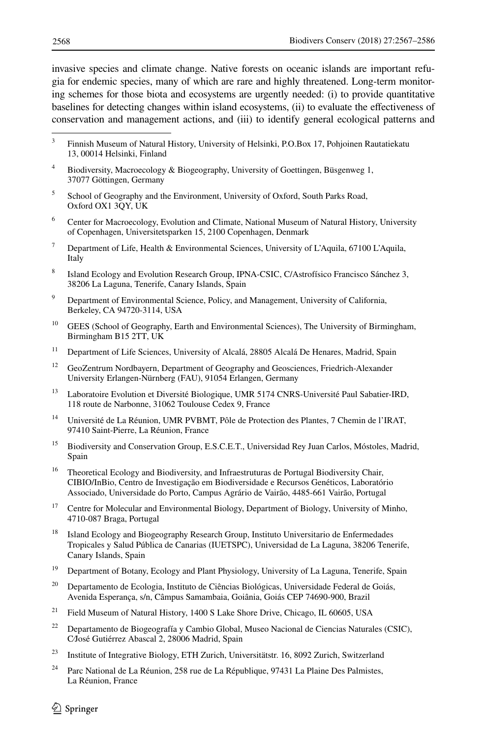invasive species and climate change. Native forests on oceanic islands are important refugia for endemic species, many of which are rare and highly threatened. Long-term monitoring schemes for those biota and ecosystems are urgently needed: (i) to provide quantitative baselines for detecting changes within island ecosystems, (ii) to evaluate the efectiveness of conservation and management actions, and (iii) to identify general ecological patterns and

- <sup>3</sup> Finnish Museum of Natural History, University of Helsinki, P.O.Box 17, Pohjoinen Rautatiekatu 13, 00014 Helsinki, Finland
- <sup>4</sup> Biodiversity, Macroecology & Biogeography, University of Goettingen, Büsgenweg 1, 37077 Göttingen, Germany
- <sup>5</sup> School of Geography and the Environment, University of Oxford, South Parks Road, Oxford OX1 3QY, UK
- <sup>6</sup> Center for Macroecology, Evolution and Climate, National Museum of Natural History, University of Copenhagen, Universitetsparken 15, 2100 Copenhagen, Denmark
- <sup>7</sup> Department of Life, Health & Environmental Sciences, University of L'Aquila, 67100 L'Aquila, Italy
- <sup>8</sup> Island Ecology and Evolution Research Group, IPNA-CSIC, C/Astrofísico Francisco Sánchez 3, 38206 La Laguna, Tenerife, Canary Islands, Spain
- <sup>9</sup> Department of Environmental Science, Policy, and Management, University of California, Berkeley, CA 94720-3114, USA
- <sup>10</sup> GEES (School of Geography, Earth and Environmental Sciences), The University of Birmingham, Birmingham B15 2TT, UK
- <sup>11</sup> Department of Life Sciences, University of Alcalá, 28805 Alcalá De Henares, Madrid, Spain
- <sup>12</sup> GeoZentrum Nordbayern, Department of Geography and Geosciences, Friedrich-Alexander University Erlangen-Nürnberg (FAU), 91054 Erlangen, Germany
- <sup>13</sup> Laboratoire Evolution et Diversité Biologique, UMR 5174 CNRS-Université Paul Sabatier-IRD, 118 route de Narbonne, 31062 Toulouse Cedex 9, France
- <sup>14</sup> Université de La Réunion, UMR PVBMT, Pôle de Protection des Plantes, 7 Chemin de l'IRAT, 97410 Saint-Pierre, La Réunion, France
- <sup>15</sup> Biodiversity and Conservation Group, E.S.C.E.T., Universidad Rey Juan Carlos, Móstoles, Madrid, Spain
- <sup>16</sup> Theoretical Ecology and Biodiversity, and Infraestruturas de Portugal Biodiversity Chair, CIBIO/InBio, Centro de Investigação em Biodiversidade e Recursos Genéticos, Laboratório Associado, Universidade do Porto, Campus Agrário de Vairão, 4485-661 Vairão, Portugal
- <sup>17</sup> Centre for Molecular and Environmental Biology, Department of Biology, University of Minho, 4710-087 Braga, Portugal
- <sup>18</sup> Island Ecology and Biogeography Research Group, Instituto Universitario de Enfermedades Tropicales y Salud Pública de Canarias (IUETSPC), Universidad de La Laguna, 38206 Tenerife, Canary Islands, Spain
- <sup>19</sup> Department of Botany, Ecology and Plant Physiology, University of La Laguna, Tenerife, Spain
- <sup>20</sup> Departamento de Ecologia, Instituto de Ciências Biológicas, Universidade Federal de Goiás, Avenida Esperança, s/n, Câmpus Samambaia, Goiânia, Goiás CEP 74690-900, Brazil
- <sup>21</sup> Field Museum of Natural History, 1400 S Lake Shore Drive, Chicago, IL 60605, USA
- <sup>22</sup> Departamento de Biogeografía y Cambio Global, Museo Nacional de Ciencias Naturales (CSIC), C⁄José Gutiérrez Abascal 2, 28006 Madrid, Spain
- <sup>23</sup> Institute of Integrative Biology, ETH Zurich, Universitätstr. 16, 8092 Zurich, Switzerland
- <sup>24</sup> Parc National de La Réunion, 258 rue de La République, 97431 La Plaine Des Palmistes, La Réunion, France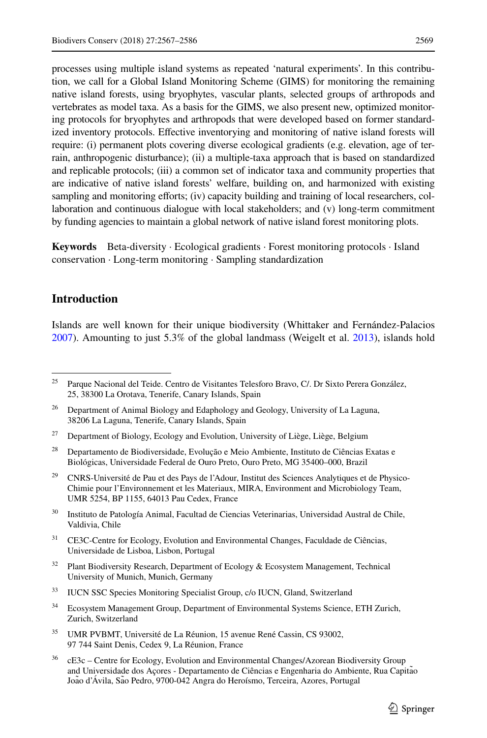processes using multiple island systems as repeated 'natural experiments'. In this contribution, we call for a Global Island Monitoring Scheme (GIMS) for monitoring the remaining native island forests, using bryophytes, vascular plants, selected groups of arthropods and vertebrates as model taxa. As a basis for the GIMS, we also present new, optimized monitoring protocols for bryophytes and arthropods that were developed based on former standardized inventory protocols. Efective inventorying and monitoring of native island forests will require: (i) permanent plots covering diverse ecological gradients (e.g. elevation, age of terrain, anthropogenic disturbance); (ii) a multiple-taxa approach that is based on standardized and replicable protocols; (iii) a common set of indicator taxa and community properties that are indicative of native island forests' welfare, building on, and harmonized with existing sampling and monitoring efforts; (iv) capacity building and training of local researchers, collaboration and continuous dialogue with local stakeholders; and (v) long-term commitment by funding agencies to maintain a global network of native island forest monitoring plots.

**Keywords** Beta-diversity · Ecological gradients · Forest monitoring protocols · Island conservation · Long-term monitoring · Sampling standardization

# **Introduction**

Islands are well known for their unique biodiversity (Whittaker and Fernández-Palacios [2007\)](#page-19-0). Amounting to just 5.3% of the global landmass (Weigelt et al. [2013\)](#page-19-1), islands hold

- <sup>30</sup> Instituto de Patología Animal, Facultad de Ciencias Veterinarias, Universidad Austral de Chile, Valdivia, Chile
- <sup>31</sup> CE3C-Centre for Ecology, Evolution and Environmental Changes, Faculdade de Ciências, Universidade de Lisboa, Lisbon, Portugal
- <sup>32</sup> Plant Biodiversity Research, Department of Ecology & Ecosystem Management, Technical University of Munich, Munich, Germany
- <sup>33</sup> IUCN SSC Species Monitoring Specialist Group, c/o IUCN, Gland, Switzerland
- <sup>34</sup> Ecosystem Management Group, Department of Environmental Systems Science, ETH Zurich, Zurich, Switzerland
- <sup>35</sup> UMR PVBMT, Université de La Réunion, 15 avenue René Cassin, CS 93002, 97 744 Saint Denis, Cedex 9, La Réunion, France
- <sup>36</sup> cE3c Centre for Ecology, Evolution and Environmental Changes/Azorean Biodiversity Group and Universidade dos Açores - Departamento de Ciências e Engenharia do Ambiente, Rua Capitão João d'Avila, São Pedro, 9700-042 Angra do Heroísmo, Terceira, Azores, Portugal

<sup>25</sup> Parque Nacional del Teide. Centro de Visitantes Telesforo Bravo, C/. Dr Sixto Perera González, 25, 38300 La Orotava, Tenerife, Canary Islands, Spain

<sup>26</sup> Department of Animal Biology and Edaphology and Geology, University of La Laguna, 38206 La Laguna, Tenerife, Canary Islands, Spain

<sup>27</sup> Department of Biology, Ecology and Evolution, University of Liège, Liège, Belgium

<sup>28</sup> Departamento de Biodiversidade, Evolução e Meio Ambiente, Instituto de Ciências Exatas e Biológicas, Universidade Federal de Ouro Preto, Ouro Preto, MG 35400–000, Brazil

<sup>&</sup>lt;sup>29</sup> CNRS-Université de Pau et des Pays de l'Adour, Institut des Sciences Analytiques et de Physico-Chimie pour l'Environnement et les Materiaux, MIRA, Environment and Microbiology Team, UMR 5254, BP 1155, 64013 Pau Cedex, France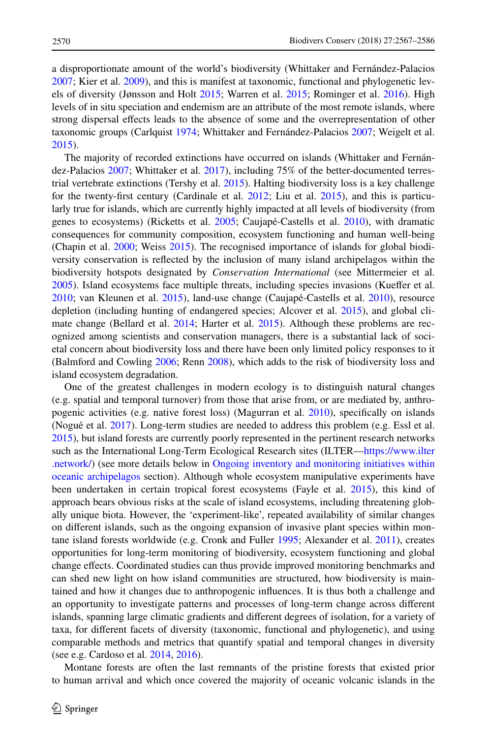a disproportionate amount of the world's biodiversity (Whittaker and Fernández-Palacios [2007;](#page-19-0) Kier et al. [2009\)](#page-17-0), and this is manifest at taxonomic, functional and phylogenetic levels of diversity (Jønsson and Holt [2015](#page-17-1); Warren et al. [2015](#page-19-2); Rominger et al. [2016\)](#page-18-0). High levels of in situ speciation and endemism are an attribute of the most remote islands, where strong dispersal efects leads to the absence of some and the overrepresentation of other taxonomic groups (Carlquist [1974;](#page-15-0) Whittaker and Fernández-Palacios [2007](#page-19-0); Weigelt et al. [2015\)](#page-19-3).

The majority of recorded extinctions have occurred on islands (Whittaker and Fernández-Palacios [2007](#page-19-0); Whittaker et al. [2017](#page-19-4)), including 75% of the better-documented terrestrial vertebrate extinctions (Tershy et al. [2015\)](#page-19-5). Halting biodiversity loss is a key challenge for the twenty-first century (Cardinale et al. [2012;](#page-15-1) Liu et al. [2015](#page-17-2)), and this is particularly true for islands, which are currently highly impacted at all levels of biodiversity (from genes to ecosystems) (Ricketts et al. [2005;](#page-18-1) Caujapé-Castells et al. [2010\)](#page-15-2), with dramatic consequences for community composition, ecosystem functioning and human well-being (Chapin et al. [2000;](#page-15-3) Weiss [2015](#page-19-6)). The recognised importance of islands for global biodiversity conservation is refected by the inclusion of many island archipelagos within the biodiversity hotspots designated by *Conservation International* (see Mittermeier et al. [2005\)](#page-18-2). Island ecosystems face multiple threats, including species invasions (Kuefer et al. [2010;](#page-17-3) van Kleunen et al. [2015](#page-19-7)), land-use change (Caujapé-Castells et al. [2010\)](#page-15-2), resource depletion (including hunting of endangered species; Alcover et al. [2015\)](#page-14-0), and global cli-mate change (Bellard et al. [2014;](#page-15-4) Harter et al. [2015](#page-16-0)). Although these problems are recognized among scientists and conservation managers, there is a substantial lack of societal concern about biodiversity loss and there have been only limited policy responses to it (Balmford and Cowling [2006](#page-15-5); Renn [2008](#page-18-3)), which adds to the risk of biodiversity loss and island ecosystem degradation.

One of the greatest challenges in modern ecology is to distinguish natural changes (e.g. spatial and temporal turnover) from those that arise from, or are mediated by, anthropogenic activities (e.g. native forest loss) (Magurran et al. [2010\)](#page-17-4), specifcally on islands (Nogué et al. [2017](#page-18-4)). Long-term studies are needed to address this problem (e.g. Essl et al. [2015\)](#page-16-1), but island forests are currently poorly represented in the pertinent research networks such as the International Long-Term Ecological Research sites (ILTER—[https://www.ilter](https://www.ilter.network/) [.network/\)](https://www.ilter.network/) (see more details below in [Ongoing inventory and monitoring initiatives within](#page-4-0)  [oceanic archipelagos](#page-4-0) section). Although whole ecosystem manipulative experiments have been undertaken in certain tropical forest ecosystems (Fayle et al. [2015\)](#page-16-2), this kind of approach bears obvious risks at the scale of island ecosystems, including threatening globally unique biota. However, the 'experiment-like', repeated availability of similar changes on diferent islands, such as the ongoing expansion of invasive plant species within montane island forests worldwide (e.g. Cronk and Fuller [1995](#page-15-6); Alexander et al. [2011\)](#page-14-1), creates opportunities for long-term monitoring of biodiversity, ecosystem functioning and global change efects. Coordinated studies can thus provide improved monitoring benchmarks and can shed new light on how island communities are structured, how biodiversity is maintained and how it changes due to anthropogenic infuences. It is thus both a challenge and an opportunity to investigate patterns and processes of long-term change across diferent islands, spanning large climatic gradients and diferent degrees of isolation, for a variety of taxa, for diferent facets of diversity (taxonomic, functional and phylogenetic), and using comparable methods and metrics that quantify spatial and temporal changes in diversity (see e.g. Cardoso et al. [2014](#page-15-7), [2016](#page-15-8)).

Montane forests are often the last remnants of the pristine forests that existed prior to human arrival and which once covered the majority of oceanic volcanic islands in the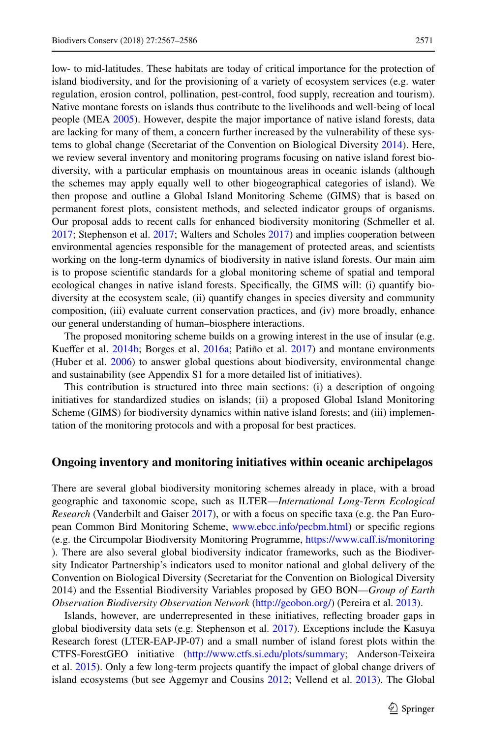low- to mid-latitudes. These habitats are today of critical importance for the protection of island biodiversity, and for the provisioning of a variety of ecosystem services (e.g. water regulation, erosion control, pollination, pest-control, food supply, recreation and tourism). Native montane forests on islands thus contribute to the livelihoods and well-being of local people (MEA [2005](#page-17-5)). However, despite the major importance of native island forests, data are lacking for many of them, a concern further increased by the vulnerability of these systems to global change (Secretariat of the Convention on Biological Diversity [2014](#page-18-5)). Here, we review several inventory and monitoring programs focusing on native island forest biodiversity, with a particular emphasis on mountainous areas in oceanic islands (although the schemes may apply equally well to other biogeographical categories of island). We then propose and outline a Global Island Monitoring Scheme (GIMS) that is based on permanent forest plots, consistent methods, and selected indicator groups of organisms. Our proposal adds to recent calls for enhanced biodiversity monitoring (Schmeller et al. [2017;](#page-18-6) Stephenson et al. [2017](#page-18-7); Walters and Scholes [2017](#page-19-8)) and implies cooperation between environmental agencies responsible for the management of protected areas, and scientists working on the long-term dynamics of biodiversity in native island forests. Our main aim is to propose scientifc standards for a global monitoring scheme of spatial and temporal ecological changes in native island forests. Specifcally, the GIMS will: (i) quantify biodiversity at the ecosystem scale, (ii) quantify changes in species diversity and community composition, (iii) evaluate current conservation practices, and (iv) more broadly, enhance our general understanding of human–biosphere interactions.

The proposed monitoring scheme builds on a growing interest in the use of insular (e.g. Kuefer et al. [2014b](#page-17-6); Borges et al. [2016a;](#page-15-9) Patiño et al. [2017\)](#page-18-8) and montane environments (Huber et al. [2006](#page-17-7)) to answer global questions about biodiversity, environmental change and sustainability (see Appendix S1 for a more detailed list of initiatives).

This contribution is structured into three main sections: (i) a description of ongoing initiatives for standardized studies on islands; (ii) a proposed Global Island Monitoring Scheme (GIMS) for biodiversity dynamics within native island forests; and (iii) implementation of the monitoring protocols and with a proposal for best practices.

### <span id="page-4-0"></span>**Ongoing inventory and monitoring initiatives within oceanic archipelagos**

There are several global biodiversity monitoring schemes already in place, with a broad geographic and taxonomic scope, such as ILTER—*International Long*-*Term Ecological Research* (Vanderbilt and Gaiser [2017\)](#page-19-9), or with a focus on specifc taxa (e.g. the Pan European Common Bird Monitoring Scheme, [www.ebcc.info/pecbm.html](http://www.ebcc.info/pecbm.html)) or specifc regions (e.g. the Circumpolar Biodiversity Monitoring Programme, [https://www.caf.is/monitoring](https://www.caff.is/monitoring) ). There are also several global biodiversity indicator frameworks, such as the Biodiversity Indicator Partnership's indicators used to monitor national and global delivery of the Convention on Biological Diversity (Secretariat for the Convention on Biological Diversity 2014) and the Essential Biodiversity Variables proposed by GEO BON—*Group of Earth Observation Biodiversity Observation Network* ([http://geobon.org/\)](http://geobon.org/) (Pereira et al. [2013](#page-18-9)).

Islands, however, are underrepresented in these initiatives, refecting broader gaps in global biodiversity data sets (e.g. Stephenson et al. [2017](#page-18-7)). Exceptions include the Kasuya Research forest (LTER-EAP-JP-07) and a small number of island forest plots within the CTFS-ForestGEO initiative (<http://www.ctfs.si.edu/plots/summary>; Anderson-Teixeira et al. [2015](#page-14-2)). Only a few long-term projects quantify the impact of global change drivers of island ecosystems (but see Aggemyr and Cousins [2012;](#page-14-3) Vellend et al. [2013](#page-19-10)). The Global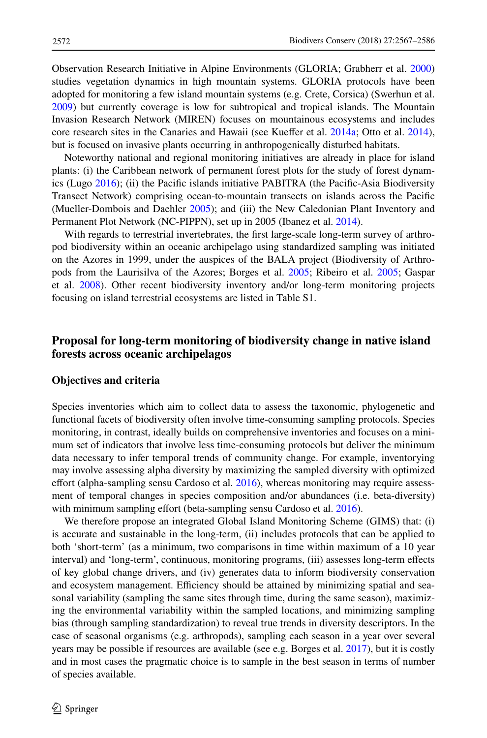Observation Research Initiative in Alpine Environments (GLORIA; Grabherr et al. [2000](#page-16-3)) studies vegetation dynamics in high mountain systems. GLORIA protocols have been adopted for monitoring a few island mountain systems (e.g. Crete, Corsica) (Swerhun et al. [2009\)](#page-19-11) but currently coverage is low for subtropical and tropical islands. The Mountain Invasion Research Network (MIREN) focuses on mountainous ecosystems and includes core research sites in the Canaries and Hawaii (see Kueffer et al. [2014a](#page-17-8); Otto et al. [2014](#page-18-10)), but is focused on invasive plants occurring in anthropogenically disturbed habitats.

Noteworthy national and regional monitoring initiatives are already in place for island plants: (i) the Caribbean network of permanent forest plots for the study of forest dynamics (Lugo [2016](#page-17-9)); (ii) the Pacifc islands initiative PABITRA (the Pacifc-Asia Biodiversity Transect Network) comprising ocean-to-mountain transects on islands across the Pacifc (Mueller-Dombois and Daehler [2005](#page-18-11)); and (iii) the New Caledonian Plant Inventory and Permanent Plot Network (NC-PIPPN), set up in 2005 (Ibanez et al. [2014](#page-17-10)).

With regards to terrestrial invertebrates, the frst large-scale long-term survey of arthropod biodiversity within an oceanic archipelago using standardized sampling was initiated on the Azores in 1999, under the auspices of the BALA project (Biodiversity of Arthropods from the Laurisilva of the Azores; Borges et al. [2005](#page-15-10); Ribeiro et al. [2005;](#page-18-12) Gaspar et al. [2008\)](#page-16-4). Other recent biodiversity inventory and/or long-term monitoring projects focusing on island terrestrial ecosystems are listed in Table S1.

# **Proposal for long‑term monitoring of biodiversity change in native island forests across oceanic archipelagos**

#### **Objectives and criteria**

Species inventories which aim to collect data to assess the taxonomic, phylogenetic and functional facets of biodiversity often involve time-consuming sampling protocols. Species monitoring, in contrast, ideally builds on comprehensive inventories and focuses on a minimum set of indicators that involve less time-consuming protocols but deliver the minimum data necessary to infer temporal trends of community change. For example, inventorying may involve assessing alpha diversity by maximizing the sampled diversity with optimized effort (alpha-sampling sensu Cardoso et al. [2016\)](#page-15-8), whereas monitoring may require assessment of temporal changes in species composition and/or abundances (i.e. beta-diversity) with minimum sampling effort (beta-sampling sensu Cardoso et al. [2016](#page-15-8)).

We therefore propose an integrated Global Island Monitoring Scheme (GIMS) that: (i) is accurate and sustainable in the long-term, (ii) includes protocols that can be applied to both 'short-term' (as a minimum, two comparisons in time within maximum of a 10 year interval) and 'long-term', continuous, monitoring programs, (iii) assesses long-term efects of key global change drivers, and (iv) generates data to inform biodiversity conservation and ecosystem management. Efficiency should be attained by minimizing spatial and seasonal variability (sampling the same sites through time, during the same season), maximizing the environmental variability within the sampled locations, and minimizing sampling bias (through sampling standardization) to reveal true trends in diversity descriptors. In the case of seasonal organisms (e.g. arthropods), sampling each season in a year over several years may be possible if resources are available (see e.g. Borges et al. [2017](#page-15-11)), but it is costly and in most cases the pragmatic choice is to sample in the best season in terms of number of species available.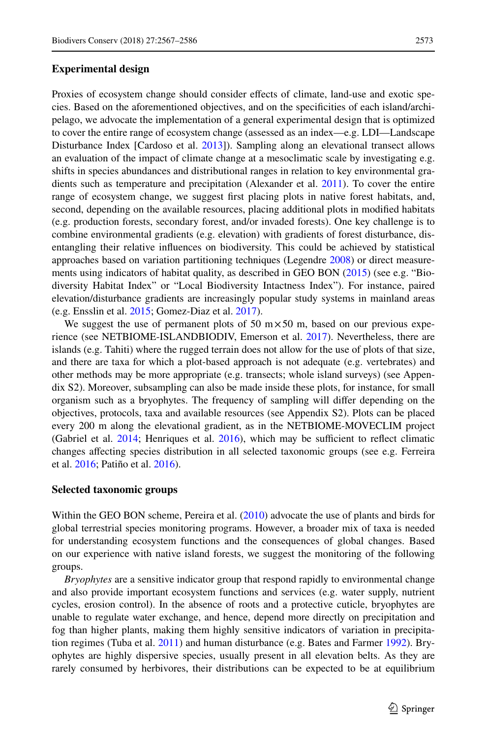#### **Experimental design**

Proxies of ecosystem change should consider efects of climate, land-use and exotic species. Based on the aforementioned objectives, and on the specifcities of each island/archipelago, we advocate the implementation of a general experimental design that is optimized to cover the entire range of ecosystem change (assessed as an index—e.g. LDI—Landscape Disturbance Index [Cardoso et al. [2013](#page-15-12)]). Sampling along an elevational transect allows an evaluation of the impact of climate change at a mesoclimatic scale by investigating e.g. shifts in species abundances and distributional ranges in relation to key environmental gradients such as temperature and precipitation (Alexander et al. [2011](#page-14-1)). To cover the entire range of ecosystem change, we suggest frst placing plots in native forest habitats, and, second, depending on the available resources, placing additional plots in modifed habitats (e.g. production forests, secondary forest, and/or invaded forests). One key challenge is to combine environmental gradients (e.g. elevation) with gradients of forest disturbance, disentangling their relative infuences on biodiversity. This could be achieved by statistical approaches based on variation partitioning techniques (Legendre [2008\)](#page-17-11) or direct measurements using indicators of habitat quality, as described in GEO BON ([2015\)](#page-16-5) (see e.g. "Biodiversity Habitat Index" or "Local Biodiversity Intactness Index"). For instance, paired elevation/disturbance gradients are increasingly popular study systems in mainland areas (e.g. Ensslin et al. [2015](#page-16-6); Gomez-Diaz et al. [2017\)](#page-16-7).

We suggest the use of permanent plots of 50  $m \times 50$  m, based on our previous experience (see NETBIOME-ISLANDBIODIV, Emerson et al. [2017](#page-15-13)). Nevertheless, there are islands (e.g. Tahiti) where the rugged terrain does not allow for the use of plots of that size, and there are taxa for which a plot-based approach is not adequate (e.g. vertebrates) and other methods may be more appropriate (e.g. transects; whole island surveys) (see Appendix S2). Moreover, subsampling can also be made inside these plots, for instance, for small organism such as a bryophytes. The frequency of sampling will difer depending on the objectives, protocols, taxa and available resources (see Appendix S2). Plots can be placed every 200 m along the elevational gradient, as in the NETBIOME-MOVECLIM project (Gabriel et al.  $2014$ ; Henriques et al.  $2016$ ), which may be sufficient to reflect climatic changes afecting species distribution in all selected taxonomic groups (see e.g. Ferreira et al. [2016;](#page-16-10) Patiño et al. [2016\)](#page-18-13).

#### **Selected taxonomic groups**

Within the GEO BON scheme, Pereira et al. ([2010\)](#page-18-14) advocate the use of plants and birds for global terrestrial species monitoring programs. However, a broader mix of taxa is needed for understanding ecosystem functions and the consequences of global changes. Based on our experience with native island forests, we suggest the monitoring of the following groups.

*Bryophytes* are a sensitive indicator group that respond rapidly to environmental change and also provide important ecosystem functions and services (e.g. water supply, nutrient cycles, erosion control). In the absence of roots and a protective cuticle, bryophytes are unable to regulate water exchange, and hence, depend more directly on precipitation and fog than higher plants, making them highly sensitive indicators of variation in precipitation regimes (Tuba et al. [2011\)](#page-19-12) and human disturbance (e.g. Bates and Farmer [1992](#page-15-14)). Bryophytes are highly dispersive species, usually present in all elevation belts. As they are rarely consumed by herbivores, their distributions can be expected to be at equilibrium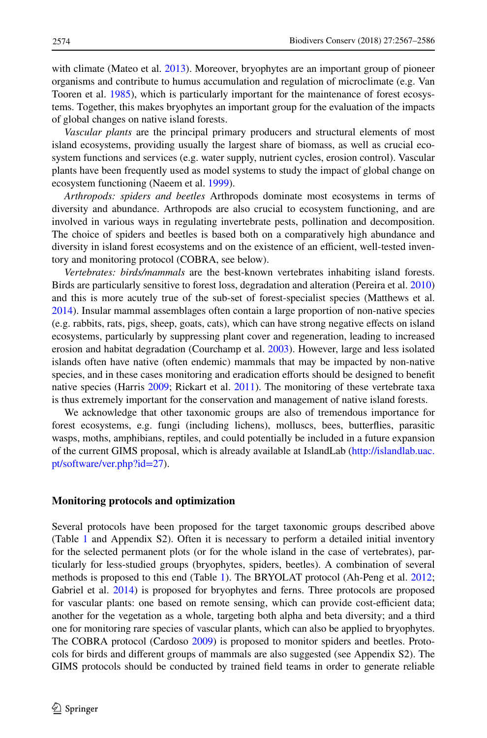with climate (Mateo et al. [2013\)](#page-17-12). Moreover, bryophytes are an important group of pioneer organisms and contribute to humus accumulation and regulation of microclimate (e.g. Van Tooren et al. [1985](#page-19-13)), which is particularly important for the maintenance of forest ecosystems. Together, this makes bryophytes an important group for the evaluation of the impacts of global changes on native island forests.

*Vascular plants* are the principal primary producers and structural elements of most island ecosystems, providing usually the largest share of biomass, as well as crucial ecosystem functions and services (e.g. water supply, nutrient cycles, erosion control). Vascular plants have been frequently used as model systems to study the impact of global change on ecosystem functioning (Naeem et al. [1999\)](#page-18-15).

*Arthropods: spiders and beetles* Arthropods dominate most ecosystems in terms of diversity and abundance. Arthropods are also crucial to ecosystem functioning, and are involved in various ways in regulating invertebrate pests, pollination and decomposition. The choice of spiders and beetles is based both on a comparatively high abundance and diversity in island forest ecosystems and on the existence of an efficient, well-tested inventory and monitoring protocol (COBRA, see below).

*Vertebrates: birds/mammals* are the best-known vertebrates inhabiting island forests. Birds are particularly sensitive to forest loss, degradation and alteration (Pereira et al. [2010](#page-18-14)) and this is more acutely true of the sub-set of forest-specialist species (Matthews et al. [2014\)](#page-17-13). Insular mammal assemblages often contain a large proportion of non-native species (e.g. rabbits, rats, pigs, sheep, goats, cats), which can have strong negative efects on island ecosystems, particularly by suppressing plant cover and regeneration, leading to increased erosion and habitat degradation (Courchamp et al. [2003\)](#page-15-15). However, large and less isolated islands often have native (often endemic) mammals that may be impacted by non-native species, and in these cases monitoring and eradication efforts should be designed to benefit native species (Harris [2009;](#page-16-11) Rickart et al. [2011](#page-18-16)). The monitoring of these vertebrate taxa is thus extremely important for the conservation and management of native island forests.

We acknowledge that other taxonomic groups are also of tremendous importance for forest ecosystems, e.g. fungi (including lichens), molluscs, bees, butterfies, parasitic wasps, moths, amphibians, reptiles, and could potentially be included in a future expansion of the current GIMS proposal, which is already available at IslandLab ([http://islandlab.uac.](http://islandlab.uac.pt/software/ver.php?id=27) [pt/software/ver.php?id=27\)](http://islandlab.uac.pt/software/ver.php?id=27).

#### **Monitoring protocols and optimization**

Several protocols have been proposed for the target taxonomic groups described above (Table [1](#page-8-0) and Appendix S2). Often it is necessary to perform a detailed initial inventory for the selected permanent plots (or for the whole island in the case of vertebrates), particularly for less-studied groups (bryophytes, spiders, beetles). A combination of several methods is proposed to this end (Table [1\)](#page-8-0). The BRYOLAT protocol (Ah-Peng et al. [2012;](#page-14-4) Gabriel et al. [2014](#page-16-8)) is proposed for bryophytes and ferns. Three protocols are proposed for vascular plants: one based on remote sensing, which can provide cost-efficient data; another for the vegetation as a whole, targeting both alpha and beta diversity; and a third one for monitoring rare species of vascular plants, which can also be applied to bryophytes. The COBRA protocol (Cardoso [2009](#page-15-16)) is proposed to monitor spiders and beetles. Protocols for birds and diferent groups of mammals are also suggested (see Appendix S2). The GIMS protocols should be conducted by trained feld teams in order to generate reliable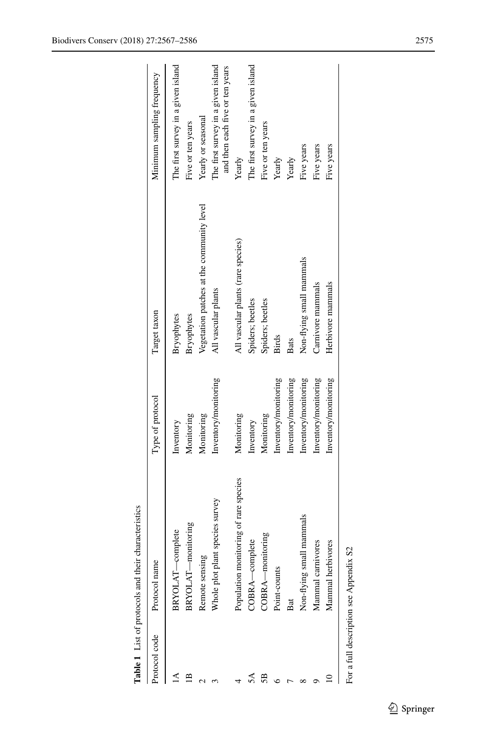|                      | <b>PARTHER COLUMN 200</b>             |                      |                                           |                                                                       |
|----------------------|---------------------------------------|----------------------|-------------------------------------------|-----------------------------------------------------------------------|
| Protocol code        | Protocol name                         | Type of protocol     | Target taxon                              | Minimum sampling frequency                                            |
|                      | BRYOLAT-complete                      | Inventory            | <b>Bryophytes</b>                         | The first survey in a given island                                    |
| m                    | BRYOLAT-monitoring                    | Monitoring           | <b>Bryophytes</b>                         | Five or ten years                                                     |
|                      | Remote sensing                        | Monitoring           | Vegetation patches at the community level | Yearly or seasonal                                                    |
|                      | Whole plot plant species survey       | Inventory/monitoring | All vascular plants                       | The first survey in a given island<br>and then each five or ten years |
|                      | Population monitoring of rare species | Monitoring           | All vascular plants (rare species)        | Yearly                                                                |
|                      | COBRA-complete                        | Inventory            | Spiders; beetles                          | The first survey in a given island                                    |
|                      | COBRA-monitoring                      | Monitoring           | Spiders; beetles                          | Five or ten years                                                     |
|                      | Point-counts                          | Inventory/monitoring | <b>Birds</b>                              | Yearly                                                                |
|                      | Bat                                   | Inventory/monitoring | Bats                                      | Yearly                                                                |
|                      | Non-flying small mammals              | Inventory/monitoring | Non-flying small mammals                  | Five years                                                            |
|                      | Mammal carnivores                     | Inventory/monitoring | Carnivore mammals                         | Five years                                                            |
|                      | Mammal herbivores                     | Inventory/monitoring | Herbivore mammals                         | Five years                                                            |
| $\ddot{\phantom{a}}$ |                                       |                      |                                           |                                                                       |

<span id="page-8-0"></span>Table 1 List of protocols and their characteristics **Table 1** List of protocols and their characteristics

For a full description see Appendix S2 For a full description see Appendix S2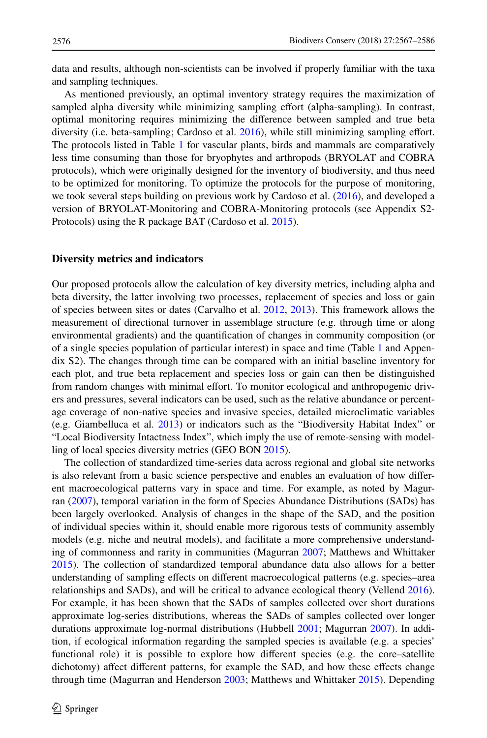data and results, although non-scientists can be involved if properly familiar with the taxa and sampling techniques.

As mentioned previously, an optimal inventory strategy requires the maximization of sampled alpha diversity while minimizing sampling efort (alpha-sampling). In contrast, optimal monitoring requires minimizing the diference between sampled and true beta diversity (i.e. beta-sampling; Cardoso et al. [2016](#page-15-8)), while still minimizing sampling effort. The protocols listed in Table [1](#page-8-0) for vascular plants, birds and mammals are comparatively less time consuming than those for bryophytes and arthropods (BRYOLAT and COBRA protocols), which were originally designed for the inventory of biodiversity, and thus need to be optimized for monitoring. To optimize the protocols for the purpose of monitoring, we took several steps building on previous work by Cardoso et al. ([2016\)](#page-15-8), and developed a version of BRYOLAT-Monitoring and COBRA-Monitoring protocols (see Appendix S2- Protocols) using the R package BAT (Cardoso et al. [2015](#page-15-17)).

#### **Diversity metrics and indicators**

Our proposed protocols allow the calculation of key diversity metrics, including alpha and beta diversity, the latter involving two processes, replacement of species and loss or gain of species between sites or dates (Carvalho et al. [2012](#page-15-18), [2013](#page-15-19)). This framework allows the measurement of directional turnover in assemblage structure (e.g. through time or along environmental gradients) and the quantifcation of changes in community composition (or of a single species population of particular interest) in space and time (Table [1](#page-8-0) and Appendix S2). The changes through time can be compared with an initial baseline inventory for each plot, and true beta replacement and species loss or gain can then be distinguished from random changes with minimal effort. To monitor ecological and anthropogenic drivers and pressures, several indicators can be used, such as the relative abundance or percentage coverage of non-native species and invasive species, detailed microclimatic variables (e.g. Giambelluca et al.  $2013$ ) or indicators such as the "Biodiversity Habitat Index" or "Local Biodiversity Intactness Index", which imply the use of remote-sensing with modelling of local species diversity metrics (GEO BON [2015](#page-16-5)).

The collection of standardized time-series data across regional and global site networks is also relevant from a basic science perspective and enables an evaluation of how diferent macroecological patterns vary in space and time. For example, as noted by Magurran ([2007\)](#page-17-14), temporal variation in the form of Species Abundance Distributions (SADs) has been largely overlooked. Analysis of changes in the shape of the SAD, and the position of individual species within it, should enable more rigorous tests of community assembly models (e.g. niche and neutral models), and facilitate a more comprehensive understanding of commonness and rarity in communities (Magurran [2007;](#page-17-14) Matthews and Whittaker [2015\)](#page-17-15). The collection of standardized temporal abundance data also allows for a better understanding of sampling efects on diferent macroecological patterns (e.g. species–area relationships and SADs), and will be critical to advance ecological theory (Vellend [2016](#page-19-14)). For example, it has been shown that the SADs of samples collected over short durations approximate log-series distributions, whereas the SADs of samples collected over longer durations approximate log-normal distributions (Hubbell [2001;](#page-17-16) Magurran [2007](#page-17-14)). In addition, if ecological information regarding the sampled species is available (e.g. a species' functional role) it is possible to explore how diferent species (e.g. the core–satellite dichotomy) afect diferent patterns, for example the SAD, and how these efects change through time (Magurran and Henderson [2003](#page-17-17); Matthews and Whittaker [2015\)](#page-17-15). Depending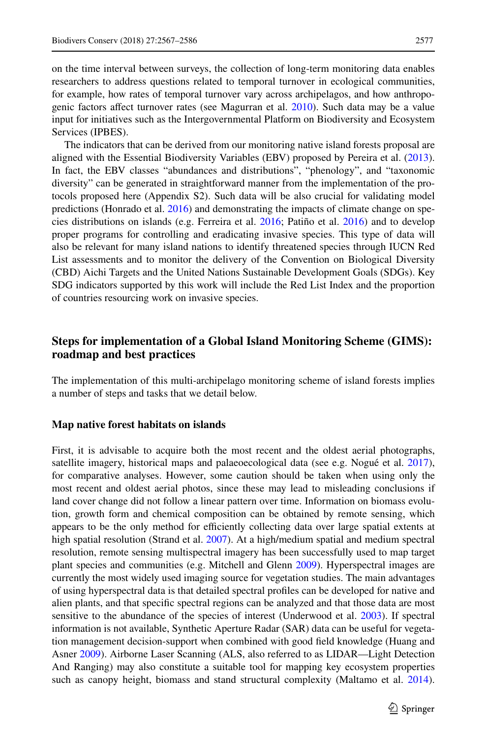on the time interval between surveys, the collection of long-term monitoring data enables researchers to address questions related to temporal turnover in ecological communities, for example, how rates of temporal turnover vary across archipelagos, and how anthropogenic factors afect turnover rates (see Magurran et al. [2010](#page-17-4)). Such data may be a value input for initiatives such as the Intergovernmental Platform on Biodiversity and Ecosystem Services (IPBES).

The indicators that can be derived from our monitoring native island forests proposal are aligned with the Essential Biodiversity Variables (EBV) proposed by Pereira et al. [\(2013](#page-18-9)). In fact, the EBV classes "abundances and distributions", "phenology", and "taxonomic diversity" can be generated in straightforward manner from the implementation of the protocols proposed here (Appendix S2). Such data will be also crucial for validating model predictions (Honrado et al. [2016](#page-16-13)) and demonstrating the impacts of climate change on species distributions on islands (e.g. Ferreira et al. [2016;](#page-16-10) Patiño et al. [2016\)](#page-18-13) and to develop proper programs for controlling and eradicating invasive species. This type of data will also be relevant for many island nations to identify threatened species through IUCN Red List assessments and to monitor the delivery of the Convention on Biological Diversity (CBD) Aichi Targets and the United Nations Sustainable Development Goals (SDGs). Key SDG indicators supported by this work will include the Red List Index and the proportion of countries resourcing work on invasive species.

# **Steps for implementation of a Global Island Monitoring Scheme (GIMS): roadmap and best practices**

The implementation of this multi-archipelago monitoring scheme of island forests implies a number of steps and tasks that we detail below.

#### **Map native forest habitats on islands**

First, it is advisable to acquire both the most recent and the oldest aerial photographs, satellite imagery, historical maps and palaeoecological data (see e.g. Nogué et al. [2017](#page-18-4)), for comparative analyses. However, some caution should be taken when using only the most recent and oldest aerial photos, since these may lead to misleading conclusions if land cover change did not follow a linear pattern over time. Information on biomass evolution, growth form and chemical composition can be obtained by remote sensing, which appears to be the only method for efficiently collecting data over large spatial extents at high spatial resolution (Strand et al. [2007](#page-19-15)). At a high/medium spatial and medium spectral resolution, remote sensing multispectral imagery has been successfully used to map target plant species and communities (e.g. Mitchell and Glenn [2009](#page-18-17)). Hyperspectral images are currently the most widely used imaging source for vegetation studies. The main advantages of using hyperspectral data is that detailed spectral profles can be developed for native and alien plants, and that specifc spectral regions can be analyzed and that those data are most sensitive to the abundance of the species of interest (Underwood et al. [2003\)](#page-19-16). If spectral information is not available, Synthetic Aperture Radar (SAR) data can be useful for vegetation management decision-support when combined with good feld knowledge (Huang and Asner [2009](#page-16-14)). Airborne Laser Scanning (ALS, also referred to as LIDAR—Light Detection And Ranging) may also constitute a suitable tool for mapping key ecosystem properties such as canopy height, biomass and stand structural complexity (Maltamo et al. [2014](#page-17-18)).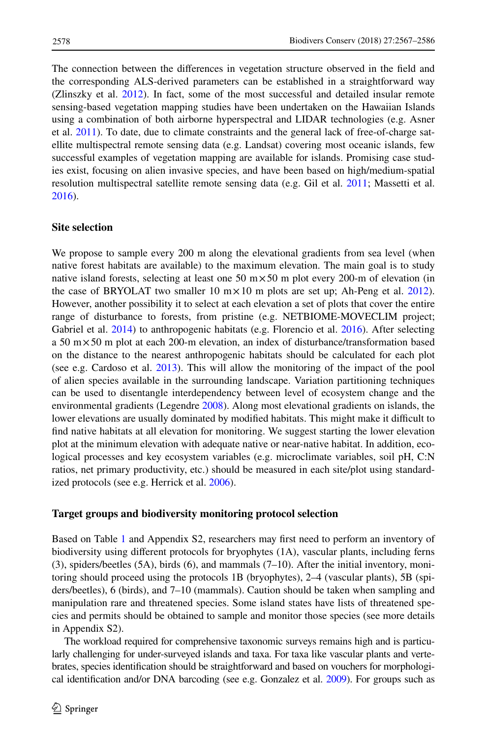The connection between the diferences in vegetation structure observed in the feld and the corresponding ALS-derived parameters can be established in a straightforward way (Zlinszky et al.  $2012$ ). In fact, some of the most successful and detailed insular remote sensing-based vegetation mapping studies have been undertaken on the Hawaiian Islands using a combination of both airborne hyperspectral and LIDAR technologies (e.g. Asner et al. [2011](#page-15-20)). To date, due to climate constraints and the general lack of free-of-charge satellite multispectral remote sensing data (e.g. Landsat) covering most oceanic islands, few successful examples of vegetation mapping are available for islands. Promising case studies exist, focusing on alien invasive species, and have been based on high/medium-spatial resolution multispectral satellite remote sensing data (e.g. Gil et al. [2011;](#page-16-15) Massetti et al. [2016\)](#page-17-19).

### **Site selection**

We propose to sample every 200 m along the elevational gradients from sea level (when native forest habitats are available) to the maximum elevation. The main goal is to study native island forests, selecting at least one 50  $m \times 50$  m plot every 200-m of elevation (in the case of BRYOLAT two smaller 10  $m \times 10$  m plots are set up; Ah-Peng et al. [2012](#page-14-4)). However, another possibility it to select at each elevation a set of plots that cover the entire range of disturbance to forests, from pristine (e.g. NETBIOME-MOVECLIM project; Gabriel et al. [2014\)](#page-16-8) to anthropogenic habitats (e.g. Florencio et al. [2016\)](#page-16-16). After selecting a 50 m×50 m plot at each 200-m elevation, an index of disturbance/transformation based on the distance to the nearest anthropogenic habitats should be calculated for each plot (see e.g. Cardoso et al. [2013\)](#page-15-12). This will allow the monitoring of the impact of the pool of alien species available in the surrounding landscape. Variation partitioning techniques can be used to disentangle interdependency between level of ecosystem change and the environmental gradients (Legendre [2008\)](#page-17-11). Along most elevational gradients on islands, the lower elevations are usually dominated by modified habitats. This might make it difficult to fnd native habitats at all elevation for monitoring. We suggest starting the lower elevation plot at the minimum elevation with adequate native or near-native habitat. In addition, ecological processes and key ecosystem variables (e.g. microclimate variables, soil pH, C:N ratios, net primary productivity, etc.) should be measured in each site/plot using standardized protocols (see e.g. Herrick et al. [2006\)](#page-16-17).

### **Target groups and biodiversity monitoring protocol selection**

Based on Table [1](#page-8-0) and Appendix S2, researchers may frst need to perform an inventory of biodiversity using diferent protocols for bryophytes (1A), vascular plants, including ferns (3), spiders/beetles (5A), birds (6), and mammals (7–10). After the initial inventory, monitoring should proceed using the protocols 1B (bryophytes), 2–4 (vascular plants), 5B (spiders/beetles), 6 (birds), and 7–10 (mammals). Caution should be taken when sampling and manipulation rare and threatened species. Some island states have lists of threatened species and permits should be obtained to sample and monitor those species (see more details in Appendix S2).

The workload required for comprehensive taxonomic surveys remains high and is particularly challenging for under-surveyed islands and taxa. For taxa like vascular plants and vertebrates, species identifcation should be straightforward and based on vouchers for morphological identifcation and/or DNA barcoding (see e.g. Gonzalez et al. [2009\)](#page-16-18). For groups such as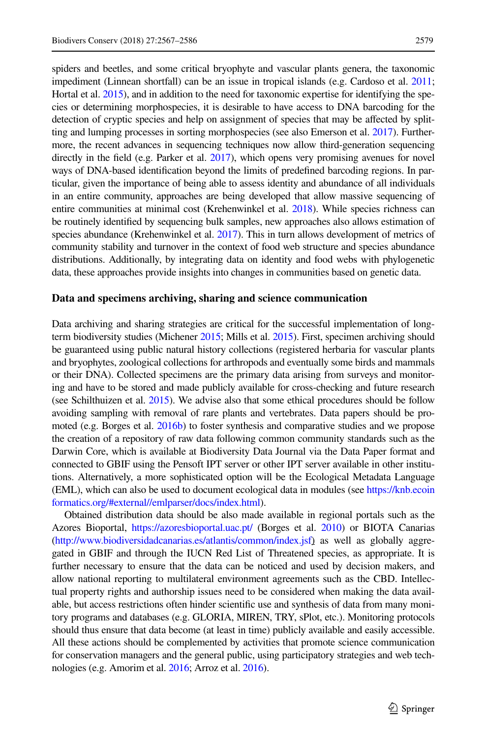spiders and beetles, and some critical bryophyte and vascular plants genera, the taxonomic impediment (Linnean shortfall) can be an issue in tropical islands (e.g. Cardoso et al. [2011;](#page-15-21) Hortal et al. [2015](#page-16-19)), and in addition to the need for taxonomic expertise for identifying the species or determining morphospecies, it is desirable to have access to DNA barcoding for the detection of cryptic species and help on assignment of species that may be afected by split-ting and lumping processes in sorting morphospecies (see also Emerson et al. [2017\)](#page-15-13). Furthermore, the recent advances in sequencing techniques now allow third-generation sequencing directly in the field (e.g. Parker et al. [2017](#page-18-18)), which opens very promising avenues for novel ways of DNA-based identifcation beyond the limits of predefned barcoding regions. In particular, given the importance of being able to assess identity and abundance of all individuals in an entire community, approaches are being developed that allow massive sequencing of entire communities at minimal cost (Krehenwinkel et al. [2018](#page-17-20)). While species richness can be routinely identifed by sequencing bulk samples, new approaches also allows estimation of species abundance (Krehenwinkel et al. [2017](#page-17-21)). This in turn allows development of metrics of community stability and turnover in the context of food web structure and species abundance distributions. Additionally, by integrating data on identity and food webs with phylogenetic data, these approaches provide insights into changes in communities based on genetic data.

#### **Data and specimens archiving, sharing and science communication**

Data archiving and sharing strategies are critical for the successful implementation of longterm biodiversity studies (Michener [2015](#page-18-19); Mills et al. [2015\)](#page-18-20). First, specimen archiving should be guaranteed using public natural history collections (registered herbaria for vascular plants and bryophytes, zoological collections for arthropods and eventually some birds and mammals or their DNA). Collected specimens are the primary data arising from surveys and monitoring and have to be stored and made publicly available for cross-checking and future research (see Schilthuizen et al. [2015\)](#page-18-21). We advise also that some ethical procedures should be follow avoiding sampling with removal of rare plants and vertebrates. Data papers should be pro-moted (e.g. Borges et al. [2016b\)](#page-15-22) to foster synthesis and comparative studies and we propose the creation of a repository of raw data following common community standards such as the Darwin Core, which is available at Biodiversity Data Journal via the Data Paper format and connected to GBIF using the Pensoft IPT server or other IPT server available in other institutions. Alternatively, a more sophisticated option will be the Ecological Metadata Language (EML), which can also be used to document ecological data in modules (see [https://knb.ecoin](https://knb.ecoinformatics.org/%23external//emlparser/docs/index.html) [formatics.org/#external//emlparser/docs/index.html\)](https://knb.ecoinformatics.org/%23external//emlparser/docs/index.html).

Obtained distribution data should be also made available in regional portals such as the Azores Bioportal, <https://azoresbioportal.uac.pt/> (Borges et al. [2010](#page-15-23)) or BIOTA Canarias (<http://www.biodiversidadcanarias.es/atlantis/common/index.jsf>) as well as globally aggregated in GBIF and through the IUCN Red List of Threatened species, as appropriate. It is further necessary to ensure that the data can be noticed and used by decision makers, and allow national reporting to multilateral environment agreements such as the CBD. Intellectual property rights and authorship issues need to be considered when making the data available, but access restrictions often hinder scientifc use and synthesis of data from many monitory programs and databases (e.g. GLORIA, MIREN, TRY, sPlot, etc.). Monitoring protocols should thus ensure that data become (at least in time) publicly available and easily accessible. All these actions should be complemented by activities that promote science communication for conservation managers and the general public, using participatory strategies and web technologies (e.g. Amorim et al. [2016;](#page-14-5) Arroz et al. [2016\)](#page-14-6).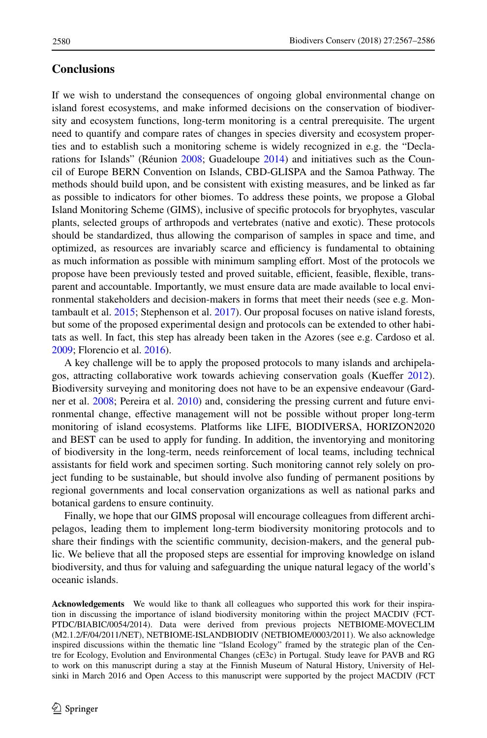# **Conclusions**

If we wish to understand the consequences of ongoing global environmental change on island forest ecosystems, and make informed decisions on the conservation of biodiversity and ecosystem functions, long-term monitoring is a central prerequisite. The urgent need to quantify and compare rates of changes in species diversity and ecosystem properties and to establish such a monitoring scheme is widely recognized in e.g. the "Declarations for Islands" (Réunion [2008;](#page-18-22) Guadeloupe [2014](#page-16-20)) and initiatives such as the Council of Europe BERN Convention on Islands, CBD-GLISPA and the Samoa Pathway. The methods should build upon, and be consistent with existing measures, and be linked as far as possible to indicators for other biomes. To address these points, we propose a Global Island Monitoring Scheme (GIMS), inclusive of specifc protocols for bryophytes, vascular plants, selected groups of arthropods and vertebrates (native and exotic). These protocols should be standardized, thus allowing the comparison of samples in space and time, and optimized, as resources are invariably scarce and efficiency is fundamental to obtaining as much information as possible with minimum sampling efort. Most of the protocols we propose have been previously tested and proved suitable, efficient, feasible, flexible, transparent and accountable. Importantly, we must ensure data are made available to local environmental stakeholders and decision-makers in forms that meet their needs (see e.g. Montambault et al. [2015](#page-18-23); Stephenson et al. [2017\)](#page-18-7). Our proposal focuses on native island forests, but some of the proposed experimental design and protocols can be extended to other habitats as well. In fact, this step has already been taken in the Azores (see e.g. Cardoso et al. [2009;](#page-15-24) Florencio et al. [2016](#page-16-16)).

A key challenge will be to apply the proposed protocols to many islands and archipelagos, attracting collaborative work towards achieving conservation goals (Kuefer [2012](#page-17-22)). Biodiversity surveying and monitoring does not have to be an expensive endeavour (Gardner et al. [2008;](#page-16-21) Pereira et al. [2010](#page-18-14)) and, considering the pressing current and future environmental change, efective management will not be possible without proper long-term monitoring of island ecosystems. Platforms like LIFE, BIODIVERSA, HORIZON2020 and BEST can be used to apply for funding. In addition, the inventorying and monitoring of biodiversity in the long-term, needs reinforcement of local teams, including technical assistants for feld work and specimen sorting. Such monitoring cannot rely solely on project funding to be sustainable, but should involve also funding of permanent positions by regional governments and local conservation organizations as well as national parks and botanical gardens to ensure continuity.

Finally, we hope that our GIMS proposal will encourage colleagues from diferent archipelagos, leading them to implement long-term biodiversity monitoring protocols and to share their fndings with the scientifc community, decision-makers, and the general public. We believe that all the proposed steps are essential for improving knowledge on island biodiversity, and thus for valuing and safeguarding the unique natural legacy of the world's oceanic islands.

**Acknowledgements** We would like to thank all colleagues who supported this work for their inspiration in discussing the importance of island biodiversity monitoring within the project MACDIV (FCT-PTDC/BIABIC/0054/2014). Data were derived from previous projects NETBIOME-MOVECLIM (M2.1.2/F/04/2011/NET), NETBIOME-ISLANDBIODIV (NETBIOME/0003/2011). We also acknowledge inspired discussions within the thematic line "Island Ecology" framed by the strategic plan of the Centre for Ecology, Evolution and Environmental Changes (cE3c) in Portugal. Study leave for PAVB and RG to work on this manuscript during a stay at the Finnish Museum of Natural History, University of Helsinki in March 2016 and Open Access to this manuscript were supported by the project MACDIV (FCT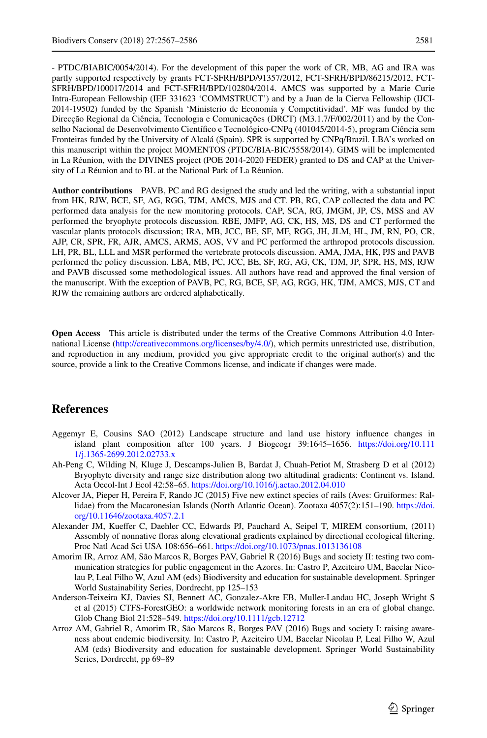- PTDC/BIABIC/0054/2014). For the development of this paper the work of CR, MB, AG and IRA was partly supported respectively by grants FCT-SFRH/BPD/91357/2012, FCT-SFRH/BPD/86215/2012, FCT-SFRH/BPD/100017/2014 and FCT-SFRH/BPD/102804/2014. AMCS was supported by a Marie Curie Intra-European Fellowship (IEF 331623 'COMMSTRUCT') and by a Juan de la Cierva Fellowship (IJCI-2014-19502) funded by the Spanish 'Ministerio de Economía y Competitividad'. MF was funded by the Direcção Regional da Ciência, Tecnologia e Comunicações (DRCT) (M3.1.7/F/002/2011) and by the Conselho Nacional de Desenvolvimento Científico e Tecnológico-CNPq (401045/2014-5), program Ciência sem Fronteiras funded by the University of Alcalá (Spain). SPR is supported by CNPq/Brazil. LBA's worked on this manuscript within the project MOMENTOS (PTDC/BIA-BIC/5558/2014). GIMS will be implemented in La Réunion, with the DIVINES project (POE 2014-2020 FEDER) granted to DS and CAP at the University of La Réunion and to BL at the National Park of La Réunion.

**Author contributions** PAVB, PC and RG designed the study and led the writing, with a substantial input from HK, RJW, BCE, SF, AG, RGG, TJM, AMCS, MJS and CT. PB, RG, CAP collected the data and PC performed data analysis for the new monitoring protocols. CAP, SCA, RG, JMGM, JP, CS, MSS and AV performed the bryophyte protocols discussion. RBE, JMFP, AG, CK, HS, MS, DS and CT performed the vascular plants protocols discussion; IRA, MB, JCC, BE, SF, MF, RGG, JH, JLM, HL, JM, RN, PO, CR, AJP, CR, SPR, FR, AJR, AMCS, ARMS, AOS, VV and PC performed the arthropod protocols discussion. LH, PR, BL, LLL and MSR performed the vertebrate protocols discussion. AMA, JMA, HK, PJS and PAVB performed the policy discussion. LBA, MB, PC, JCC, BE, SF, RG, AG, CK, TJM, JP, SPR, HS, MS, RJW and PAVB discussed some methodological issues. All authors have read and approved the fnal version of the manuscript. With the exception of PAVB, PC, RG, BCE, SF, AG, RGG, HK, TJM, AMCS, MJS, CT and RJW the remaining authors are ordered alphabetically.

**Open Access** This article is distributed under the terms of the Creative Commons Attribution 4.0 International License [\(http://creativecommons.org/licenses/by/4.0/](http://creativecommons.org/licenses/by/4.0/)), which permits unrestricted use, distribution, and reproduction in any medium, provided you give appropriate credit to the original author(s) and the source, provide a link to the Creative Commons license, and indicate if changes were made.

### **References**

- <span id="page-14-3"></span>Aggemyr E, Cousins SAO (2012) Landscape structure and land use history infuence changes in island plant composition after 100 years. J Biogeogr 39:1645–1656. [https://doi.org/10.111](https://doi.org/10.1111/j.1365-2699.2012.02733.x) [1/j.1365-2699.2012.02733.x](https://doi.org/10.1111/j.1365-2699.2012.02733.x)
- <span id="page-14-4"></span>Ah-Peng C, Wilding N, Kluge J, Descamps-Julien B, Bardat J, Chuah-Petiot M, Strasberg D et al (2012) Bryophyte diversity and range size distribution along two altitudinal gradients: Continent vs. Island. Acta Oecol-Int J Ecol 42:58–65. <https://doi.org/10.1016/j.actao.2012.04.010>
- <span id="page-14-0"></span>Alcover JA, Pieper H, Pereira F, Rando JC (2015) Five new extinct species of rails (Aves: Gruiformes: Rallidae) from the Macaronesian Islands (North Atlantic Ocean). Zootaxa 4057(2):151–190. [https://doi.](https://doi.org/10.11646/zootaxa.4057.2.1) [org/10.11646/zootaxa.4057.2.1](https://doi.org/10.11646/zootaxa.4057.2.1)
- <span id="page-14-1"></span>Alexander JM, Kuefer C, Daehler CC, Edwards PJ, Pauchard A, Seipel T, MIREM consortium, (2011) Assembly of nonnative foras along elevational gradients explained by directional ecological fltering. Proc Natl Acad Sci USA 108:656–661. <https://doi.org/10.1073/pnas.1013136108>
- <span id="page-14-5"></span>Amorim IR, Arroz AM, São Marcos R, Borges PAV, Gabriel R (2016) Bugs and society II: testing two communication strategies for public engagement in the Azores. In: Castro P, Azeiteiro UM, Bacelar Nicolau P, Leal Filho W, Azul AM (eds) Biodiversity and education for sustainable development. Springer World Sustainability Series, Dordrecht, pp 125–153
- <span id="page-14-2"></span>Anderson-Teixeira KJ, Davies SJ, Bennett AC, Gonzalez-Akre EB, Muller-Landau HC, Joseph Wright S et al (2015) CTFS-ForestGEO: a worldwide network monitoring forests in an era of global change. Glob Chang Biol 21:528–549.<https://doi.org/10.1111/gcb.12712>
- <span id="page-14-6"></span>Arroz AM, Gabriel R, Amorim IR, São Marcos R, Borges PAV (2016) Bugs and society I: raising awareness about endemic biodiversity. In: Castro P, Azeiteiro UM, Bacelar Nicolau P, Leal Filho W, Azul AM (eds) Biodiversity and education for sustainable development. Springer World Sustainability Series, Dordrecht, pp 69–89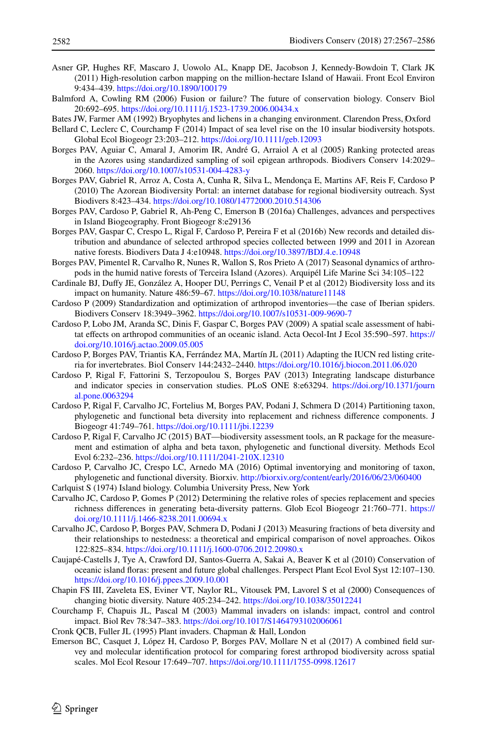- <span id="page-15-20"></span>Asner GP, Hughes RF, Mascaro J, Uowolo AL, Knapp DE, Jacobson J, Kennedy-Bowdoin T, Clark JK (2011) High-resolution carbon mapping on the million-hectare Island of Hawaii. Front Ecol Environ 9:434–439.<https://doi.org/10.1890/100179>
- <span id="page-15-5"></span>Balmford A, Cowling RM (2006) Fusion or failure? The future of conservation biology. Conserv Biol 20:692–695.<https://doi.org/10.1111/j.1523-1739.2006.00434.x>

<span id="page-15-14"></span>Bates JW, Farmer AM (1992) Bryophytes and lichens in a changing environment. Clarendon Press, Oxford

- <span id="page-15-4"></span>Bellard C, Leclerc C, Courchamp F (2014) Impact of sea level rise on the 10 insular biodiversity hotspots. Global Ecol Biogeogr 23:203–212. <https://doi.org/10.1111/geb.12093>
- <span id="page-15-10"></span>Borges PAV, Aguiar C, Amaral J, Amorim IR, André G, Arraiol A et al (2005) Ranking protected areas in the Azores using standardized sampling of soil epigean arthropods. Biodivers Conserv 14:2029– 2060.<https://doi.org/10.1007/s10531-004-4283-y>
- <span id="page-15-23"></span>Borges PAV, Gabriel R, Arroz A, Costa A, Cunha R, Silva L, Mendonça E, Martins AF, Reis F, Cardoso P (2010) The Azorean Biodiversity Portal: an internet database for regional biodiversity outreach. Syst Biodivers 8:423–434.<https://doi.org/10.1080/14772000.2010.514306>
- <span id="page-15-9"></span>Borges PAV, Cardoso P, Gabriel R, Ah-Peng C, Emerson B (2016a) Challenges, advances and perspectives in Island Biogeography. Front Biogeogr 8:e29136
- <span id="page-15-22"></span>Borges PAV, Gaspar C, Crespo L, Rigal F, Cardoso P, Pereira F et al (2016b) New records and detailed distribution and abundance of selected arthropod species collected between 1999 and 2011 in Azorean native forests. Biodivers Data J 4:e10948.<https://doi.org/10.3897/BDJ.4.e.10948>
- <span id="page-15-11"></span>Borges PAV, Pimentel R, Carvalho R, Nunes R, Wallon S, Ros Prieto A (2017) Seasonal dynamics of arthropods in the humid native forests of Terceira Island (Azores). Arquipél Life Marine Sci 34:105–122
- <span id="page-15-1"></span>Cardinale BJ, Dufy JE, González A, Hooper DU, Perrings C, Venail P et al (2012) Biodiversity loss and its impact on humanity. Nature 486:59–67. <https://doi.org/10.1038/nature11148>
- <span id="page-15-16"></span>Cardoso P (2009) Standardization and optimization of arthropod inventories—the case of Iberian spiders. Biodivers Conserv 18:3949–3962.<https://doi.org/10.1007/s10531-009-9690-7>
- <span id="page-15-24"></span>Cardoso P, Lobo JM, Aranda SC, Dinis F, Gaspar C, Borges PAV (2009) A spatial scale assessment of habitat effects on arthropod communities of an oceanic island. Acta Oecol-Int J Ecol 35:590–597. [https://](https://doi.org/10.1016/j.actao.2009.05.005) [doi.org/10.1016/j.actao.2009.05.005](https://doi.org/10.1016/j.actao.2009.05.005)
- <span id="page-15-21"></span>Cardoso P, Borges PAV, Triantis KA, Ferrández MA, Martín JL (2011) Adapting the IUCN red listing criteria for invertebrates. Biol Conserv 144:2432–2440. <https://doi.org/10.1016/j.biocon.2011.06.020>
- <span id="page-15-12"></span>Cardoso P, Rigal F, Fattorini S, Terzopoulou S, Borges PAV (2013) Integrating landscape disturbance and indicator species in conservation studies. PLoS ONE 8:e63294. [https://doi.org/10.1371/journ](https://doi.org/10.1371/journal.pone.0063294) [al.pone.0063294](https://doi.org/10.1371/journal.pone.0063294)
- <span id="page-15-7"></span>Cardoso P, Rigal F, Carvalho JC, Fortelius M, Borges PAV, Podani J, Schmera D (2014) Partitioning taxon, phylogenetic and functional beta diversity into replacement and richness diference components. J Biogeogr 41:749–761.<https://doi.org/10.1111/jbi.12239>
- <span id="page-15-17"></span>Cardoso P, Rigal F, Carvalho JC (2015) BAT—biodiversity assessment tools, an R package for the measurement and estimation of alpha and beta taxon, phylogenetic and functional diversity. Methods Ecol Evol 6:232–236.<https://doi.org/10.1111/2041-210X.12310>
- <span id="page-15-8"></span>Cardoso P, Carvalho JC, Crespo LC, Arnedo MA (2016) Optimal inventorying and monitoring of taxon, phylogenetic and functional diversity. Biorxiv.<http://biorxiv.org/content/early/2016/06/23/060400>
- <span id="page-15-0"></span>Carlquist S (1974) Island biology. Columbia University Press, New York
- <span id="page-15-18"></span>Carvalho JC, Cardoso P, Gomes P (2012) Determining the relative roles of species replacement and species richness diferences in generating beta-diversity patterns. Glob Ecol Biogeogr 21:760–771. [https://](https://doi.org/10.1111/j.1466-8238.2011.00694.x) [doi.org/10.1111/j.1466-8238.2011.00694.x](https://doi.org/10.1111/j.1466-8238.2011.00694.x)
- <span id="page-15-19"></span>Carvalho JC, Cardoso P, Borges PAV, Schmera D, Podani J (2013) Measuring fractions of beta diversity and their relationships to nestedness: a theoretical and empirical comparison of novel approaches. Oikos 122:825–834.<https://doi.org/10.1111/j.1600-0706.2012.20980.x>
- <span id="page-15-2"></span>Caujapé-Castells J, Tye A, Crawford DJ, Santos-Guerra A, Sakai A, Beaver K et al (2010) Conservation of oceanic island foras: present and future global challenges. Perspect Plant Ecol Evol Syst 12:107–130. <https://doi.org/10.1016/j.ppees.2009.10.001>
- <span id="page-15-3"></span>Chapin FS III, Zaveleta ES, Eviner VT, Naylor RL, Vitousek PM, Lavorel S et al (2000) Consequences of changing biotic diversity. Nature 405:234–242. <https://doi.org/10.1038/35012241>
- <span id="page-15-15"></span>Courchamp F, Chapuis JL, Pascal M (2003) Mammal invaders on islands: impact, control and control impact. Biol Rev 78:347–383. <https://doi.org/10.1017/S1464793102006061>
- <span id="page-15-6"></span>Cronk QCB, Fuller JL (1995) Plant invaders. Chapman & Hall, London
- <span id="page-15-13"></span>Emerson BC, Casquet J, López H, Cardoso P, Borges PAV, Mollare N et al (2017) A combined feld survey and molecular identifcation protocol for comparing forest arthropod biodiversity across spatial scales. Mol Ecol Resour 17:649–707.<https://doi.org/10.1111/1755-0998.12617>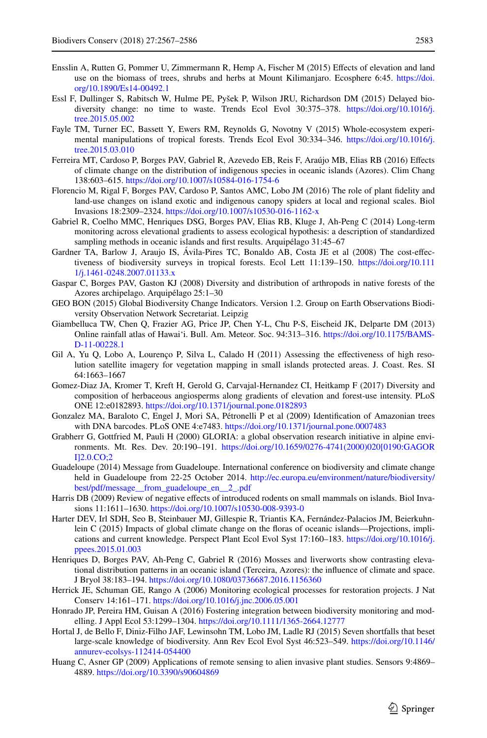- <span id="page-16-6"></span>Ensslin A, Rutten G, Pommer U, Zimmermann R, Hemp A, Fischer M (2015) Efects of elevation and land use on the biomass of trees, shrubs and herbs at Mount Kilimanjaro. Ecosphere 6:45. [https://doi.](https://doi.org/10.1890/Es14-00492.1) [org/10.1890/Es14-00492.1](https://doi.org/10.1890/Es14-00492.1)
- <span id="page-16-1"></span>Essl F, Dullinger S, Rabitsch W, Hulme PE, Pyšek P, Wilson JRU, Richardson DM (2015) Delayed biodiversity change: no time to waste. Trends Ecol Evol 30:375–378. [https://doi.org/10.1016/j.](https://doi.org/10.1016/j.tree.2015.05.002) [tree.2015.05.002](https://doi.org/10.1016/j.tree.2015.05.002)
- <span id="page-16-2"></span>Fayle TM, Turner EC, Bassett Y, Ewers RM, Reynolds G, Novotny V (2015) Whole-ecosystem experimental manipulations of tropical forests. Trends Ecol Evol 30:334–346. [https://doi.org/10.1016/j.](https://doi.org/10.1016/j.tree.2015.03.010) [tree.2015.03.010](https://doi.org/10.1016/j.tree.2015.03.010)
- <span id="page-16-10"></span>Ferreira MT, Cardoso P, Borges PAV, Gabriel R, Azevedo EB, Reis F, Araújo MB, Elias RB (2016) Efects of climate change on the distribution of indigenous species in oceanic islands (Azores). Clim Chang 138:603–615.<https://doi.org/10.1007/s10584-016-1754-6>
- <span id="page-16-16"></span>Florencio M, Rigal F, Borges PAV, Cardoso P, Santos AMC, Lobo JM (2016) The role of plant fdelity and land-use changes on island exotic and indigenous canopy spiders at local and regional scales. Biol Invasions 18:2309–2324. <https://doi.org/10.1007/s10530-016-1162-x>
- <span id="page-16-8"></span>Gabriel R, Coelho MMC, Henriques DSG, Borges PAV, Elias RB, Kluge J, Ah-Peng C (2014) Long-term monitoring across elevational gradients to assess ecological hypothesis: a description of standardized sampling methods in oceanic islands and frst results. Arquipélago 31:45–67
- <span id="page-16-21"></span>Gardner TA, Barlow J, Araujo IS, Ávila-Pires TC, Bonaldo AB, Costa JE et al (2008) The cost-efectiveness of biodiversity surveys in tropical forests. Ecol Lett 11:139–150. [https://doi.org/10.111](https://doi.org/10.1111/j.1461-0248.2007.01133.x) [1/j.1461-0248.2007.01133.x](https://doi.org/10.1111/j.1461-0248.2007.01133.x)
- <span id="page-16-4"></span>Gaspar C, Borges PAV, Gaston KJ (2008) Diversity and distribution of arthropods in native forests of the Azores archipelago. Arquipélago 25:1–30
- <span id="page-16-5"></span>GEO BON (2015) Global Biodiversity Change Indicators. Version 1.2. Group on Earth Observations Biodiversity Observation Network Secretariat. Leipzig
- <span id="page-16-12"></span>Giambelluca TW, Chen Q, Frazier AG, Price JP, Chen Y-L, Chu P-S, Eischeid JK, Delparte DM (2013) Online rainfall atlas of Hawai'i. Bull. Am. Meteor. Soc. 94:313–316. [https://doi.org/10.1175/BAMS-](https://doi.org/10.1175/BAMS-D-11-00228.1)[D-11-00228.1](https://doi.org/10.1175/BAMS-D-11-00228.1)
- <span id="page-16-15"></span>Gil A, Yu Q, Lobo A, Lourenço P, Silva L, Calado H (2011) Assessing the efectiveness of high resolution satellite imagery for vegetation mapping in small islands protected areas. J. Coast. Res. SI 64:1663–1667
- <span id="page-16-7"></span>Gomez-Diaz JA, Kromer T, Kreft H, Gerold G, Carvajal-Hernandez CI, Heitkamp F (2017) Diversity and composition of herbaceous angiosperms along gradients of elevation and forest-use intensity. PLoS ONE 12:e0182893.<https://doi.org/10.1371/journal.pone.0182893>
- <span id="page-16-18"></span>Gonzalez MA, Baraloto C, Engel J, Mori SA, Pétronelli P et al (2009) Identifcation of Amazonian trees with DNA barcodes. PLoS ONE 4:e7483.<https://doi.org/10.1371/journal.pone.0007483>
- <span id="page-16-3"></span>Grabherr G, Gottfried M, Pauli H (2000) GLORIA: a global observation research initiative in alpine environments. Mt. Res. Dev. 20:190–191. [https://doi.org/10.1659/0276-4741\(2000\)020\[0190:GAGOR](https://doi.org/10.1659/0276-4741(2000)020[0190:GAGORI]2.0.CO;2) [I\]2.0.CO;2](https://doi.org/10.1659/0276-4741(2000)020[0190:GAGORI]2.0.CO;2)
- <span id="page-16-20"></span>Guadeloupe (2014) Message from Guadeloupe. International conference on biodiversity and climate change held in Guadeloupe from 22-25 October 2014. [http://ec.europa.eu/environment/nature/biodiversity/](http://ec.europa.eu/environment/nature/biodiversity/best/pdf/message__from_guadeloupe_en__2_.pdf) [best/pdf/message\\_\\_from\\_guadeloupe\\_en\\_\\_2\\_.pdf](http://ec.europa.eu/environment/nature/biodiversity/best/pdf/message__from_guadeloupe_en__2_.pdf)
- <span id="page-16-11"></span>Harris DB (2009) Review of negative efects of introduced rodents on small mammals on islands. Biol Invasions 11:1611–1630. <https://doi.org/10.1007/s10530-008-9393-0>
- <span id="page-16-0"></span>Harter DEV, Irl SDH, Seo B, Steinbauer MJ, Gillespie R, Triantis KA, Fernández-Palacios JM, Beierkuhnlein C (2015) Impacts of global climate change on the foras of oceanic islands—Projections, implications and current knowledge. Perspect Plant Ecol Evol Syst 17:160–183. [https://doi.org/10.1016/j.](https://doi.org/10.1016/j.ppees.2015.01.003) [ppees.2015.01.003](https://doi.org/10.1016/j.ppees.2015.01.003)
- <span id="page-16-9"></span>Henriques D, Borges PAV, Ah-Peng C, Gabriel R (2016) Mosses and liverworts show contrasting elevational distribution patterns in an oceanic island (Terceira, Azores): the infuence of climate and space. J Bryol 38:183–194. <https://doi.org/10.1080/03736687.2016.1156360>
- <span id="page-16-17"></span>Herrick JE, Schuman GE, Rango A (2006) Monitoring ecological processes for restoration projects. J Nat Conserv 14:161–171.<https://doi.org/10.1016/j.jnc.2006.05.001>
- <span id="page-16-13"></span>Honrado JP, Pereira HM, Guisan A (2016) Fostering integration between biodiversity monitoring and modelling. J Appl Ecol 53:1299–1304.<https://doi.org/10.1111/1365-2664.12777>
- <span id="page-16-19"></span>Hortal J, de Bello F, Diniz-Filho JAF, Lewinsohn TM, Lobo JM, Ladle RJ (2015) Seven shortfalls that beset large-scale knowledge of biodiversity. Ann Rev Ecol Evol Syst 46:523–549. [https://doi.org/10.1146/](https://doi.org/10.1146/annurev-ecolsys-112414-054400) [annurev-ecolsys-112414-054400](https://doi.org/10.1146/annurev-ecolsys-112414-054400)
- <span id="page-16-14"></span>Huang C, Asner GP (2009) Applications of remote sensing to alien invasive plant studies. Sensors 9:4869– 4889.<https://doi.org/10.3390/s90604869>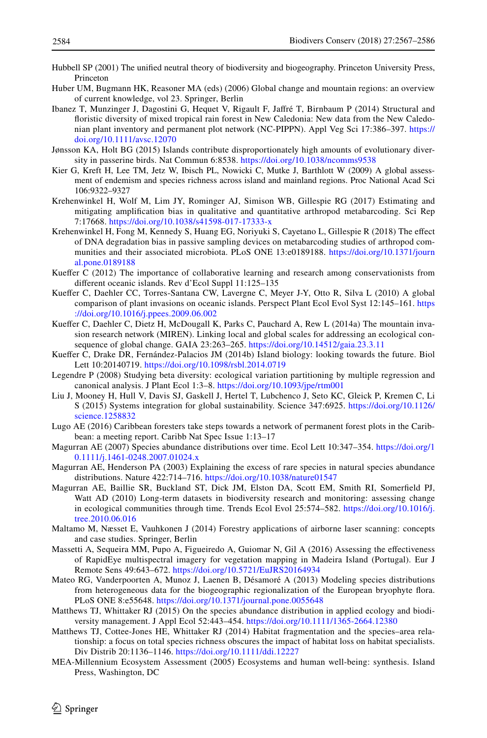- <span id="page-17-16"></span>Hubbell SP (2001) The unifed neutral theory of biodiversity and biogeography. Princeton University Press, Princeton
- <span id="page-17-7"></span>Huber UM, Bugmann HK, Reasoner MA (eds) (2006) Global change and mountain regions: an overview of current knowledge, vol 23. Springer, Berlin
- <span id="page-17-10"></span>Ibanez T, Munzinger J, Dagostini G, Hequet V, Rigault F, Jafré T, Birnbaum P (2014) Structural and foristic diversity of mixed tropical rain forest in New Caledonia: New data from the New Caledonian plant inventory and permanent plot network (NC-PIPPN). Appl Veg Sci 17:386–397. [https://](https://doi.org/10.1111/avsc.12070) [doi.org/10.1111/avsc.12070](https://doi.org/10.1111/avsc.12070)
- <span id="page-17-1"></span>Jønsson KA, Holt BG (2015) Islands contribute disproportionately high amounts of evolutionary diversity in passerine birds. Nat Commun 6:8538.<https://doi.org/10.1038/ncomms9538>
- <span id="page-17-0"></span>Kier G, Kreft H, Lee TM, Jetz W, Ibisch PL, Nowicki C, Mutke J, Barthlott W (2009) A global assessment of endemism and species richness across island and mainland regions. Proc National Acad Sci 106:9322–9327
- <span id="page-17-21"></span>Krehenwinkel H, Wolf M, Lim JY, Rominger AJ, Simison WB, Gillespie RG (2017) Estimating and mitigating amplifcation bias in qualitative and quantitative arthropod metabarcoding. Sci Rep 7:17668. <https://doi.org/10.1038/s41598-017-17333-x>
- <span id="page-17-20"></span>Krehenwinkel H, Fong M, Kennedy S, Huang EG, Noriyuki S, Cayetano L, Gillespie R (2018) The efect of DNA degradation bias in passive sampling devices on metabarcoding studies of arthropod communities and their associated microbiota. PLoS ONE 13:e0189188. [https://doi.org/10.1371/journ](https://doi.org/10.1371/journal.pone.0189188) [al.pone.0189188](https://doi.org/10.1371/journal.pone.0189188)
- <span id="page-17-22"></span>Kueffer C (2012) The importance of collaborative learning and research among conservationists from diferent oceanic islands. Rev d'Ecol Suppl 11:125–135
- <span id="page-17-3"></span>Kueffer C, Daehler CC, Torres-Santana CW, Lavergne C, Meyer J-Y, Otto R, Silva L (2010) A global comparison of plant invasions on oceanic islands. Perspect Plant Ecol Evol Syst 12:145–161. [https](https://doi.org/10.1016/j.ppees.2009.06.002) [://doi.org/10.1016/j.ppees.2009.06.002](https://doi.org/10.1016/j.ppees.2009.06.002)
- <span id="page-17-8"></span>Kueffer C, Daehler C, Dietz H, McDougall K, Parks C, Pauchard A, Rew L (2014a) The mountain invasion research network (MIREN). Linking local and global scales for addressing an ecological consequence of global change. GAIA 23:263–265. <https://doi.org/10.14512/gaia.23.3.11>
- <span id="page-17-6"></span>Kuefer C, Drake DR, Fernández-Palacios JM (2014b) Island biology: looking towards the future. Biol Lett 10:20140719.<https://doi.org/10.1098/rsbl.2014.0719>
- <span id="page-17-11"></span>Legendre P (2008) Studying beta diversity: ecological variation partitioning by multiple regression and canonical analysis. J Plant Ecol 1:3–8.<https://doi.org/10.1093/jpe/rtm001>
- <span id="page-17-2"></span>Liu J, Mooney H, Hull V, Davis SJ, Gaskell J, Hertel T, Lubchenco J, Seto KC, Gleick P, Kremen C, Li S (2015) Systems integration for global sustainability. Science 347:6925. [https://doi.org/10.1126/](https://doi.org/10.1126/science.1258832) [science.1258832](https://doi.org/10.1126/science.1258832)
- <span id="page-17-9"></span>Lugo AE (2016) Caribbean foresters take steps towards a network of permanent forest plots in the Caribbean: a meeting report. Caribb Nat Spec Issue 1:13–17
- <span id="page-17-14"></span>Magurran AE (2007) Species abundance distributions over time. Ecol Lett 10:347–354. [https://doi.org/1](https://doi.org/10.1111/j.1461-0248.2007.01024.x) [0.1111/j.1461-0248.2007.01024.x](https://doi.org/10.1111/j.1461-0248.2007.01024.x)
- <span id="page-17-17"></span>Magurran AE, Henderson PA (2003) Explaining the excess of rare species in natural species abundance distributions. Nature 422:714–716.<https://doi.org/10.1038/nature01547>
- <span id="page-17-4"></span>Magurran AE, Baillie SR, Buckland ST, Dick JM, Elston DA, Scott EM, Smith RI, Somerfeld PJ, Watt AD (2010) Long-term datasets in biodiversity research and monitoring: assessing change in ecological communities through time. Trends Ecol Evol 25:574–582. [https://doi.org/10.1016/j.](https://doi.org/10.1016/j.tree.2010.06.016) [tree.2010.06.016](https://doi.org/10.1016/j.tree.2010.06.016)
- <span id="page-17-18"></span>Maltamo M, Næsset E, Vauhkonen J (2014) Forestry applications of airborne laser scanning: concepts and case studies. Springer, Berlin
- <span id="page-17-19"></span>Massetti A, Sequeira MM, Pupo A, Figueiredo A, Guiomar N, Gil A (2016) Assessing the efectiveness of RapidEye multispectral imagery for vegetation mapping in Madeira Island (Portugal). Eur J Remote Sens 49:643–672. <https://doi.org/10.5721/EuJRS20164934>
- <span id="page-17-12"></span>Mateo RG, Vanderpoorten A, Munoz J, Laenen B, Désamoré A (2013) Modeling species distributions from heterogeneous data for the biogeographic regionalization of the European bryophyte fora. PLoS ONE 8:e55648.<https://doi.org/10.1371/journal.pone.0055648>
- <span id="page-17-15"></span>Matthews TJ, Whittaker RJ (2015) On the species abundance distribution in applied ecology and biodiversity management. J Appl Ecol 52:443–454.<https://doi.org/10.1111/1365-2664.12380>
- <span id="page-17-13"></span>Matthews TJ, Cottee-Jones HE, Whittaker RJ (2014) Habitat fragmentation and the species–area relationship: a focus on total species richness obscures the impact of habitat loss on habitat specialists. Div Distrib 20:1136–1146. <https://doi.org/10.1111/ddi.12227>
- <span id="page-17-5"></span>MEA-Millennium Ecosystem Assessment (2005) Ecosystems and human well-being: synthesis. Island Press, Washington, DC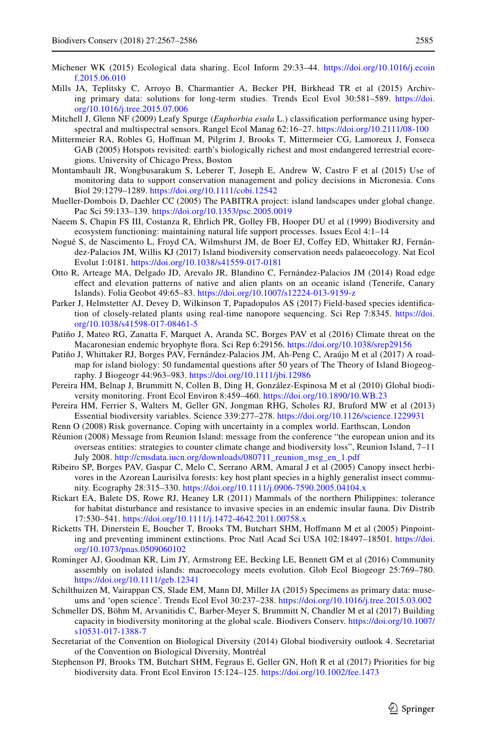- <span id="page-18-19"></span>Michener WK (2015) Ecological data sharing. Ecol Inform 29:33–44. [https://doi.org/10.1016/j.ecoin](https://doi.org/10.1016/j.ecoinf.2015.06.010) [f.2015.06.010](https://doi.org/10.1016/j.ecoinf.2015.06.010)
- <span id="page-18-20"></span>Mills JA, Teplitsky C, Arroyo B, Charmantier A, Becker PH, Birkhead TR et al (2015) Archiving primary data: solutions for long-term studies. Trends Ecol Evol 30:581–589. [https://doi.](https://doi.org/10.1016/j.tree.2015.07.006) [org/10.1016/j.tree.2015.07.006](https://doi.org/10.1016/j.tree.2015.07.006)
- <span id="page-18-17"></span>Mitchell J, Glenn NF (2009) Leafy Spurge (*Euphorbia esula* L.) classifcation performance using hyperspectral and multispectral sensors. Rangel Ecol Manag 62:16–27. <https://doi.org/10.2111/08-100>
- <span id="page-18-2"></span>Mittermeier RA, Robles G, Hofman M, Pilgrim J, Brooks T, Mittermeier CG, Lamoreux J, Fonseca GAB (2005) Hotspots revisited: earth's biologically richest and most endangered terrestrial ecoregions. University of Chicago Press, Boston
- <span id="page-18-23"></span>Montambault JR, Wongbusarakum S, Leberer T, Joseph E, Andrew W, Castro F et al (2015) Use of monitoring data to support conservation management and policy decisions in Micronesia. Cons Biol 29:1279–1289.<https://doi.org/10.1111/cobi.12542>
- <span id="page-18-11"></span>Mueller-Dombois D, Daehler CC (2005) The PABITRA project: island landscapes under global change. Pac Sci 59:133–139.<https://doi.org/10.1353/psc.2005.0019>
- <span id="page-18-15"></span>Naeem S, Chapin FS III, Costanza R, Ehrlich PR, Golley FB, Hooper DU et al (1999) Biodiversity and ecosystem functioning: maintaining natural life support processes. Issues Ecol 4:1–14
- <span id="page-18-4"></span>Nogué S, de Nascimento L, Froyd CA, Wilmshurst JM, de Boer EJ, Cofey ED, Whittaker RJ, Fernández-Palacios JM, Willis KJ (2017) Island biodiversity conservation needs palaeoecology. Nat Ecol Evolut 1:0181.<https://doi.org/10.1038/s41559-017-0181>
- <span id="page-18-10"></span>Otto R, Arteage MA, Delgado JD, Arevalo JR, Blandino C, Fernández-Palacios JM (2014) Road edge efect and elevation patterns of native and alien plants on an oceanic island (Tenerife, Canary Islands). Folia Geobot 49:65–83.<https://doi.org/10.1007/s12224-013-9159-z>
- <span id="page-18-18"></span>Parker J, Helmstetter AJ, Devey D, Wilkinson T, Papadopulos AS (2017) Field-based species identifcation of closely-related plants using real-time nanopore sequencing. Sci Rep 7:8345. [https://doi.](https://doi.org/10.1038/s41598-017-08461-5) [org/10.1038/s41598-017-08461-5](https://doi.org/10.1038/s41598-017-08461-5)
- <span id="page-18-13"></span>Patiño J, Mateo RG, Zanatta F, Marquet A, Aranda SC, Borges PAV et al (2016) Climate threat on the Macaronesian endemic bryophyte fora. Sci Rep 6:29156.<https://doi.org/10.1038/srep29156>
- <span id="page-18-8"></span>Patiño J, Whittaker RJ, Borges PAV, Fernández-Palacios JM, Ah-Peng C, Araújo M et al (2017) A roadmap for island biology: 50 fundamental questions after 50 years of The Theory of Island Biogeography. J Biogeogr 44:963–983. <https://doi.org/10.1111/jbi.12986>
- <span id="page-18-14"></span>Pereira HM, Belnap J, Brummitt N, Collen B, Ding H, González-Espinosa M et al (2010) Global biodiversity monitoring. Front Ecol Environ 8:459–460. <https://doi.org/10.1890/10.WB.23>
- <span id="page-18-9"></span>Pereira HM, Ferrier S, Walters M, Geller GN, Jongman RHG, Scholes RJ, Bruford MW et al (2013) Essential biodiversity variables. Science 339:277–278.<https://doi.org/10.1126/science.1229931>
- <span id="page-18-3"></span>Renn O (2008) Risk governance. Coping with uncertainty in a complex world. Earthscan, London
- <span id="page-18-22"></span>Réunion (2008) Message from Reunion Island: message from the conference "the european union and its overseas entities: strategies to counter climate change and biodiversity loss", Reunion Island, 7–11 July 2008. [http://cmsdata.iucn.org/downloads/080711\\_reunion\\_msg\\_en\\_1.pdf](http://cmsdata.iucn.org/downloads/080711_reunion_msg_en_1.pdf)
- <span id="page-18-12"></span>Ribeiro SP, Borges PAV, Gaspar C, Melo C, Serrano ARM, Amaral J et al (2005) Canopy insect herbivores in the Azorean Laurisilva forests: key host plant species in a highly generalist insect community. Ecography 28:315–330. <https://doi.org/10.1111/j.0906-7590.2005.04104.x>
- <span id="page-18-16"></span>Rickart EA, Balete DS, Rowe RJ, Heaney LR (2011) Mammals of the northern Philippines: tolerance for habitat disturbance and resistance to invasive species in an endemic insular fauna. Div Distrib 17:530–541. <https://doi.org/10.1111/j.1472-4642.2011.00758.x>
- <span id="page-18-1"></span>Ricketts TH, Dinerstein E, Boucher T, Brooks TM, Butchart SHM, Hofmann M et al (2005) Pinpointing and preventing imminent extinctions. Proc Natl Acad Sci USA 102:18497–18501. [https://doi.](https://doi.org/10.1073/pnas.0509060102) [org/10.1073/pnas.0509060102](https://doi.org/10.1073/pnas.0509060102)
- <span id="page-18-0"></span>Rominger AJ, Goodman KR, Lim JY, Armstrong EE, Becking LE, Bennett GM et al (2016) Community assembly on isolated islands: macroecology meets evolution. Glob Ecol Biogeogr 25:769–780. <https://doi.org/10.1111/geb.12341>
- <span id="page-18-21"></span>Schilthuizen M, Vairappan CS, Slade EM, Mann DJ, Miller JA (2015) Specimens as primary data: museums and 'open science'. Trends Ecol Evol 30:237–238. <https://doi.org/10.1016/j.tree.2015.03.002>
- <span id="page-18-6"></span>Schmeller DS, Böhm M, Arvanitidis C, Barber-Meyer S, Brummitt N, Chandler M et al (2017) Building capacity in biodiversity monitoring at the global scale. Biodivers Conserv. [https://doi.org/10.1007/](https://doi.org/10.1007/s10531-017-1388-7) [s10531-017-1388-7](https://doi.org/10.1007/s10531-017-1388-7)
- <span id="page-18-5"></span>Secretariat of the Convention on Biological Diversity (2014) Global biodiversity outlook 4. Secretariat of the Convention on Biological Diversity, Montréal
- <span id="page-18-7"></span>Stephenson PJ, Brooks TM, Butchart SHM, Fegraus E, Geller GN, Hoft R et al (2017) Priorities for big biodiversity data. Front Ecol Environ 15:124–125. <https://doi.org/10.1002/fee.1473>